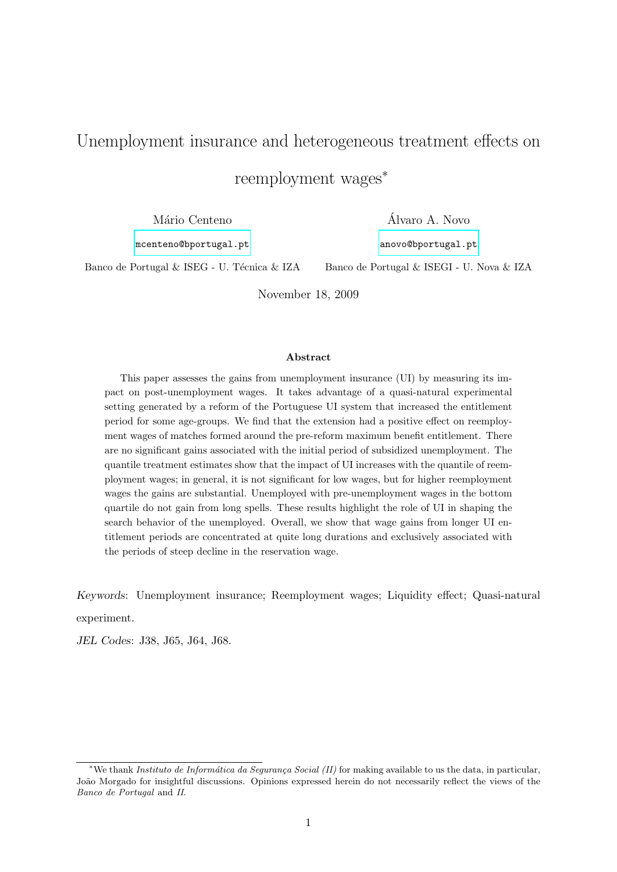## Unemployment insurance and heterogeneous treatment effects on

reemployment wages<sup>∗</sup>

Mário Centeno

Alvaro A. Novo ´

[mcenteno@bportugal.pt](mailto:mcenteno@bportugal.pt)

[anovo@bportugal.pt](mailto:anovo@bportugal.pt)

Banco de Portugal & ISEG - U. Técnica & IZA

Banco de Portugal & ISEGI - U. Nova & IZA

November 18, 2009

#### Abstract

This paper assesses the gains from unemployment insurance (UI) by measuring its impact on post-unemployment wages. It takes advantage of a quasi-natural experimental setting generated by a reform of the Portuguese UI system that increased the entitlement period for some age-groups. We find that the extension had a positive effect on reemployment wages of matches formed around the pre-reform maximum benefit entitlement. There are no significant gains associated with the initial period of subsidized unemployment. The quantile treatment estimates show that the impact of UI increases with the quantile of reemployment wages; in general, it is not significant for low wages, but for higher reemployment wages the gains are substantial. Unemployed with pre-unemployment wages in the bottom quartile do not gain from long spells. These results highlight the role of UI in shaping the search behavior of the unemployed. Overall, we show that wage gains from longer UI entitlement periods are concentrated at quite long durations and exclusively associated with the periods of steep decline in the reservation wage.

Keywords: Unemployment insurance; Reemployment wages; Liquidity effect; Quasi-natural experiment.

JEL Codes: J38, J65, J64, J68.

<sup>\*</sup>We thank Instituto de Informática da Segurança Social (II) for making available to us the data, in particular, João Morgado for insightful discussions. Opinions expressed herein do not necessarily reflect the views of the Banco de Portugal and II.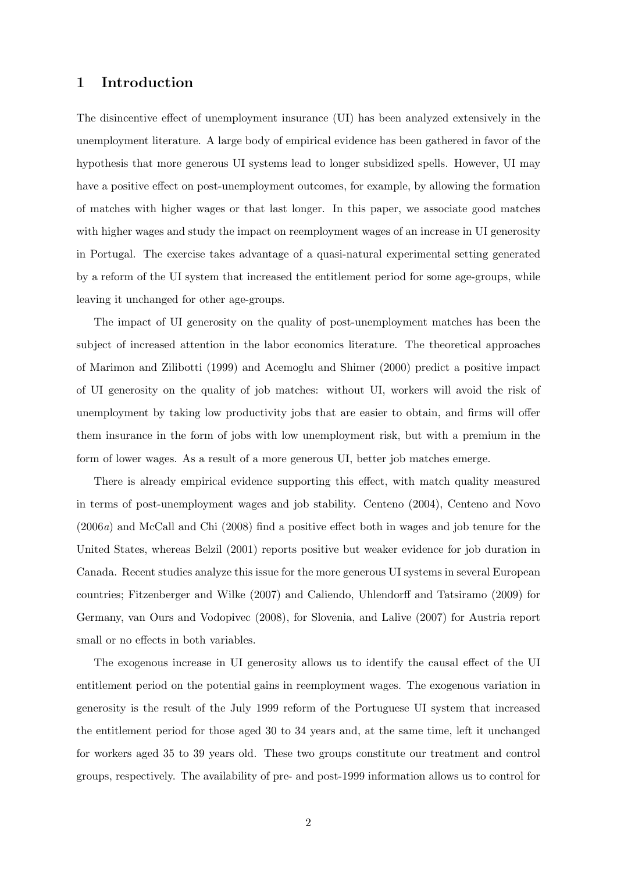## 1 Introduction

The disincentive effect of unemployment insurance (UI) has been analyzed extensively in the unemployment literature. A large body of empirical evidence has been gathered in favor of the hypothesis that more generous UI systems lead to longer subsidized spells. However, UI may have a positive effect on post-unemployment outcomes, for example, by allowing the formation of matches with higher wages or that last longer. In this paper, we associate good matches with higher wages and study the impact on reemployment wages of an increase in UI generosity in Portugal. The exercise takes advantage of a quasi-natural experimental setting generated by a reform of the UI system that increased the entitlement period for some age-groups, while leaving it unchanged for other age-groups.

The impact of UI generosity on the quality of post-unemployment matches has been the subject of increased attention in the labor economics literature. The theoretical approaches of Marimon and Zilibotti (1999) and Acemoglu and Shimer (2000) predict a positive impact of UI generosity on the quality of job matches: without UI, workers will avoid the risk of unemployment by taking low productivity jobs that are easier to obtain, and firms will offer them insurance in the form of jobs with low unemployment risk, but with a premium in the form of lower wages. As a result of a more generous UI, better job matches emerge.

There is already empirical evidence supporting this effect, with match quality measured in terms of post-unemployment wages and job stability. Centeno (2004), Centeno and Novo (2006a) and McCall and Chi (2008) find a positive effect both in wages and job tenure for the United States, whereas Belzil (2001) reports positive but weaker evidence for job duration in Canada. Recent studies analyze this issue for the more generous UI systems in several European countries; Fitzenberger and Wilke (2007) and Caliendo, Uhlendorff and Tatsiramo (2009) for Germany, van Ours and Vodopivec (2008), for Slovenia, and Lalive (2007) for Austria report small or no effects in both variables.

The exogenous increase in UI generosity allows us to identify the causal effect of the UI entitlement period on the potential gains in reemployment wages. The exogenous variation in generosity is the result of the July 1999 reform of the Portuguese UI system that increased the entitlement period for those aged 30 to 34 years and, at the same time, left it unchanged for workers aged 35 to 39 years old. These two groups constitute our treatment and control groups, respectively. The availability of pre- and post-1999 information allows us to control for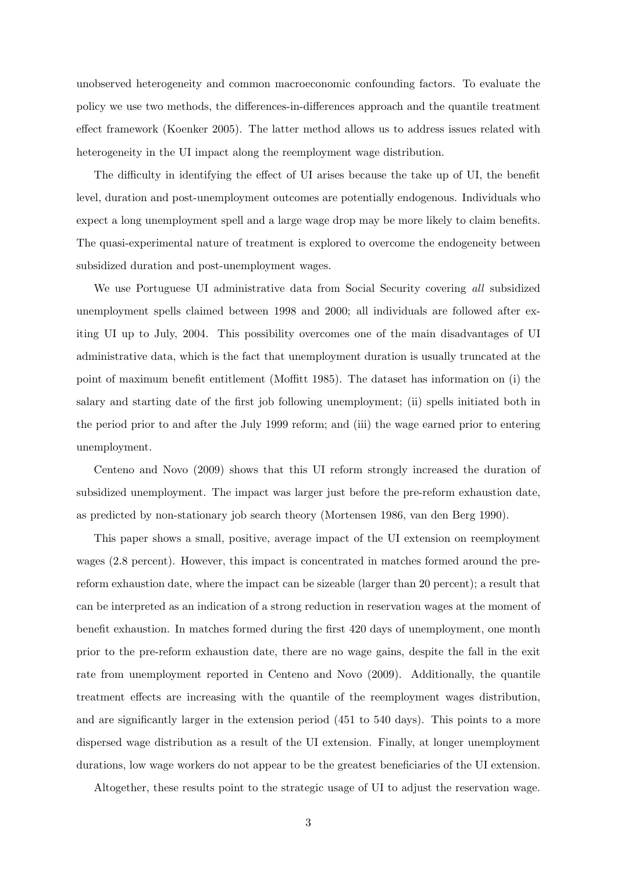unobserved heterogeneity and common macroeconomic confounding factors. To evaluate the policy we use two methods, the differences-in-differences approach and the quantile treatment effect framework (Koenker 2005). The latter method allows us to address issues related with heterogeneity in the UI impact along the reemployment wage distribution.

The difficulty in identifying the effect of UI arises because the take up of UI, the benefit level, duration and post-unemployment outcomes are potentially endogenous. Individuals who expect a long unemployment spell and a large wage drop may be more likely to claim benefits. The quasi-experimental nature of treatment is explored to overcome the endogeneity between subsidized duration and post-unemployment wages.

We use Portuguese UI administrative data from Social Security covering all subsidized unemployment spells claimed between 1998 and 2000; all individuals are followed after exiting UI up to July, 2004. This possibility overcomes one of the main disadvantages of UI administrative data, which is the fact that unemployment duration is usually truncated at the point of maximum benefit entitlement (Moffitt 1985). The dataset has information on (i) the salary and starting date of the first job following unemployment; (ii) spells initiated both in the period prior to and after the July 1999 reform; and (iii) the wage earned prior to entering unemployment.

Centeno and Novo (2009) shows that this UI reform strongly increased the duration of subsidized unemployment. The impact was larger just before the pre-reform exhaustion date, as predicted by non-stationary job search theory (Mortensen 1986, van den Berg 1990).

This paper shows a small, positive, average impact of the UI extension on reemployment wages (2.8 percent). However, this impact is concentrated in matches formed around the prereform exhaustion date, where the impact can be sizeable (larger than 20 percent); a result that can be interpreted as an indication of a strong reduction in reservation wages at the moment of benefit exhaustion. In matches formed during the first 420 days of unemployment, one month prior to the pre-reform exhaustion date, there are no wage gains, despite the fall in the exit rate from unemployment reported in Centeno and Novo (2009). Additionally, the quantile treatment effects are increasing with the quantile of the reemployment wages distribution, and are significantly larger in the extension period (451 to 540 days). This points to a more dispersed wage distribution as a result of the UI extension. Finally, at longer unemployment durations, low wage workers do not appear to be the greatest beneficiaries of the UI extension.

Altogether, these results point to the strategic usage of UI to adjust the reservation wage.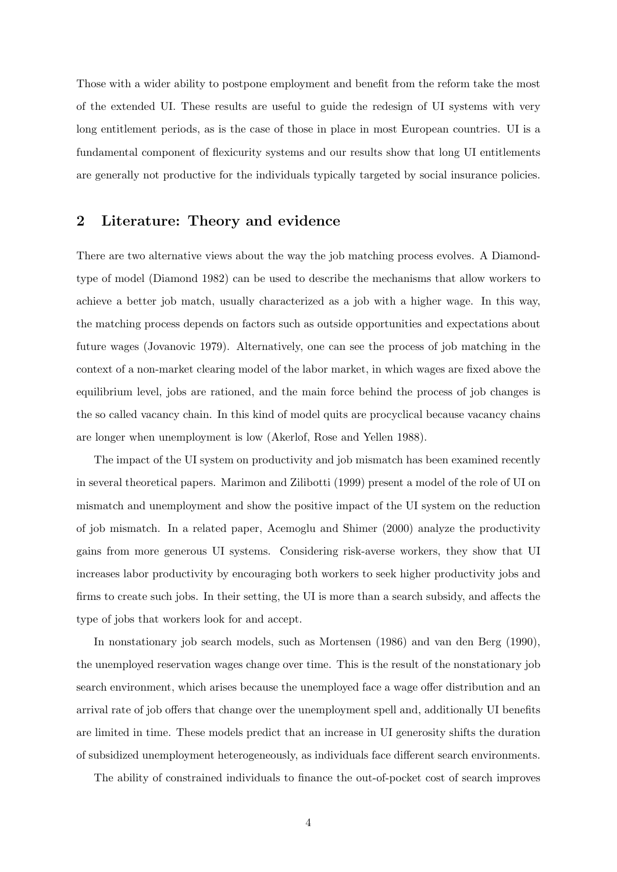Those with a wider ability to postpone employment and benefit from the reform take the most of the extended UI. These results are useful to guide the redesign of UI systems with very long entitlement periods, as is the case of those in place in most European countries. UI is a fundamental component of flexicurity systems and our results show that long UI entitlements are generally not productive for the individuals typically targeted by social insurance policies.

## 2 Literature: Theory and evidence

There are two alternative views about the way the job matching process evolves. A Diamondtype of model (Diamond 1982) can be used to describe the mechanisms that allow workers to achieve a better job match, usually characterized as a job with a higher wage. In this way, the matching process depends on factors such as outside opportunities and expectations about future wages (Jovanovic 1979). Alternatively, one can see the process of job matching in the context of a non-market clearing model of the labor market, in which wages are fixed above the equilibrium level, jobs are rationed, and the main force behind the process of job changes is the so called vacancy chain. In this kind of model quits are procyclical because vacancy chains are longer when unemployment is low (Akerlof, Rose and Yellen 1988).

The impact of the UI system on productivity and job mismatch has been examined recently in several theoretical papers. Marimon and Zilibotti (1999) present a model of the role of UI on mismatch and unemployment and show the positive impact of the UI system on the reduction of job mismatch. In a related paper, Acemoglu and Shimer (2000) analyze the productivity gains from more generous UI systems. Considering risk-averse workers, they show that UI increases labor productivity by encouraging both workers to seek higher productivity jobs and firms to create such jobs. In their setting, the UI is more than a search subsidy, and affects the type of jobs that workers look for and accept.

In nonstationary job search models, such as Mortensen (1986) and van den Berg (1990), the unemployed reservation wages change over time. This is the result of the nonstationary job search environment, which arises because the unemployed face a wage offer distribution and an arrival rate of job offers that change over the unemployment spell and, additionally UI benefits are limited in time. These models predict that an increase in UI generosity shifts the duration of subsidized unemployment heterogeneously, as individuals face different search environments.

The ability of constrained individuals to finance the out-of-pocket cost of search improves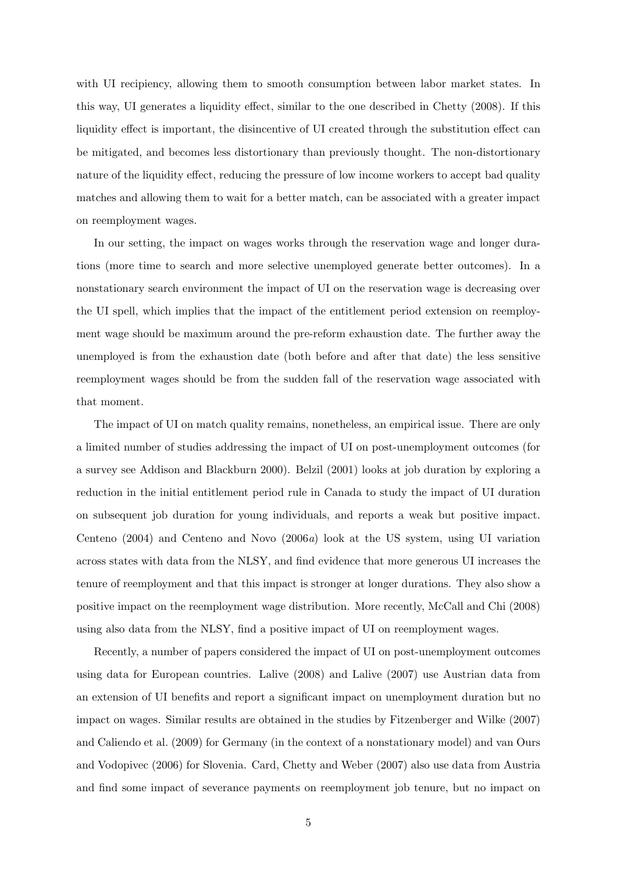with UI recipiency, allowing them to smooth consumption between labor market states. In this way, UI generates a liquidity effect, similar to the one described in Chetty (2008). If this liquidity effect is important, the disincentive of UI created through the substitution effect can be mitigated, and becomes less distortionary than previously thought. The non-distortionary nature of the liquidity effect, reducing the pressure of low income workers to accept bad quality matches and allowing them to wait for a better match, can be associated with a greater impact on reemployment wages.

In our setting, the impact on wages works through the reservation wage and longer durations (more time to search and more selective unemployed generate better outcomes). In a nonstationary search environment the impact of UI on the reservation wage is decreasing over the UI spell, which implies that the impact of the entitlement period extension on reemployment wage should be maximum around the pre-reform exhaustion date. The further away the unemployed is from the exhaustion date (both before and after that date) the less sensitive reemployment wages should be from the sudden fall of the reservation wage associated with that moment.

The impact of UI on match quality remains, nonetheless, an empirical issue. There are only a limited number of studies addressing the impact of UI on post-unemployment outcomes (for a survey see Addison and Blackburn 2000). Belzil (2001) looks at job duration by exploring a reduction in the initial entitlement period rule in Canada to study the impact of UI duration on subsequent job duration for young individuals, and reports a weak but positive impact. Centeno (2004) and Centeno and Novo (2006a) look at the US system, using UI variation across states with data from the NLSY, and find evidence that more generous UI increases the tenure of reemployment and that this impact is stronger at longer durations. They also show a positive impact on the reemployment wage distribution. More recently, McCall and Chi (2008) using also data from the NLSY, find a positive impact of UI on reemployment wages.

Recently, a number of papers considered the impact of UI on post-unemployment outcomes using data for European countries. Lalive (2008) and Lalive (2007) use Austrian data from an extension of UI benefits and report a significant impact on unemployment duration but no impact on wages. Similar results are obtained in the studies by Fitzenberger and Wilke (2007) and Caliendo et al. (2009) for Germany (in the context of a nonstationary model) and van Ours and Vodopivec (2006) for Slovenia. Card, Chetty and Weber (2007) also use data from Austria and find some impact of severance payments on reemployment job tenure, but no impact on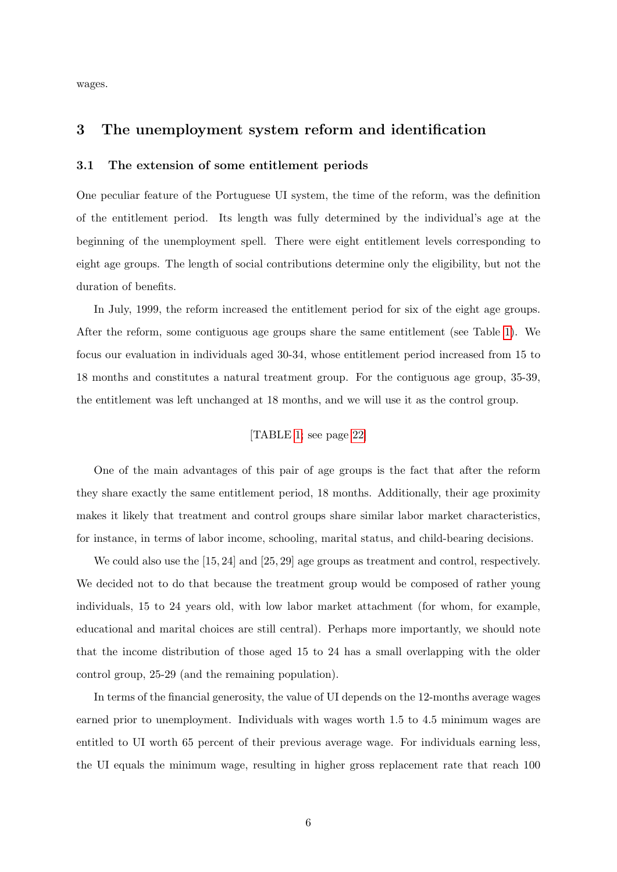wages.

## 3 The unemployment system reform and identification

#### 3.1 The extension of some entitlement periods

One peculiar feature of the Portuguese UI system, the time of the reform, was the definition of the entitlement period. Its length was fully determined by the individual's age at the beginning of the unemployment spell. There were eight entitlement levels corresponding to eight age groups. The length of social contributions determine only the eligibility, but not the duration of benefits.

In July, 1999, the reform increased the entitlement period for six of the eight age groups. After the reform, some contiguous age groups share the same entitlement (see Table [1\)](#page-21-0). We focus our evaluation in individuals aged 30-34, whose entitlement period increased from 15 to 18 months and constitutes a natural treatment group. For the contiguous age group, 35-39, the entitlement was left unchanged at 18 months, and we will use it as the control group.

#### [TABLE [1;](#page-21-0) see page [22\]](#page-21-0)

One of the main advantages of this pair of age groups is the fact that after the reform they share exactly the same entitlement period, 18 months. Additionally, their age proximity makes it likely that treatment and control groups share similar labor market characteristics, for instance, in terms of labor income, schooling, marital status, and child-bearing decisions.

We could also use the  $[15, 24]$  and  $[25, 29]$  age groups as treatment and control, respectively. We decided not to do that because the treatment group would be composed of rather young individuals, 15 to 24 years old, with low labor market attachment (for whom, for example, educational and marital choices are still central). Perhaps more importantly, we should note that the income distribution of those aged 15 to 24 has a small overlapping with the older control group, 25-29 (and the remaining population).

In terms of the financial generosity, the value of UI depends on the 12-months average wages earned prior to unemployment. Individuals with wages worth 1.5 to 4.5 minimum wages are entitled to UI worth 65 percent of their previous average wage. For individuals earning less, the UI equals the minimum wage, resulting in higher gross replacement rate that reach 100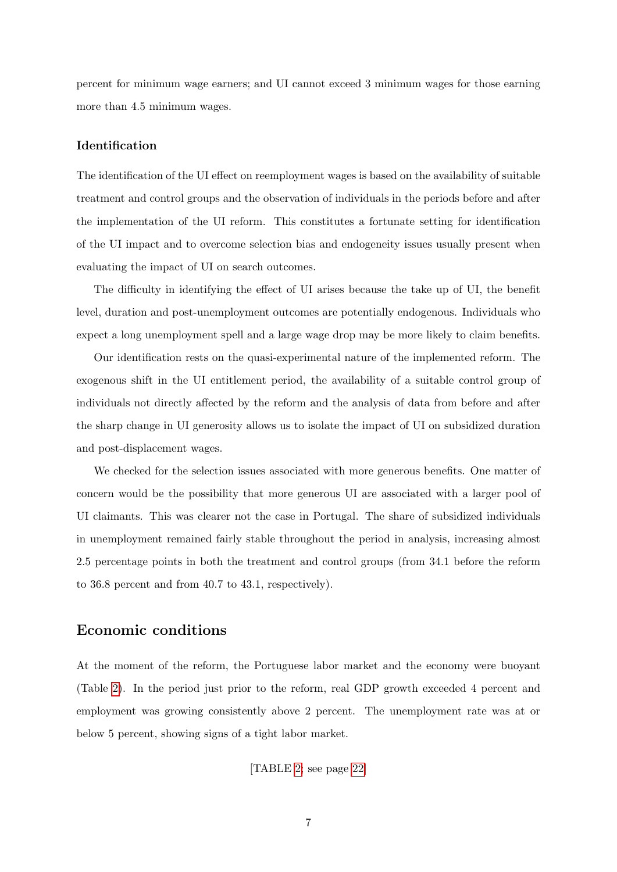percent for minimum wage earners; and UI cannot exceed 3 minimum wages for those earning more than 4.5 minimum wages.

#### Identification

The identification of the UI effect on reemployment wages is based on the availability of suitable treatment and control groups and the observation of individuals in the periods before and after the implementation of the UI reform. This constitutes a fortunate setting for identification of the UI impact and to overcome selection bias and endogeneity issues usually present when evaluating the impact of UI on search outcomes.

The difficulty in identifying the effect of UI arises because the take up of UI, the benefit level, duration and post-unemployment outcomes are potentially endogenous. Individuals who expect a long unemployment spell and a large wage drop may be more likely to claim benefits.

Our identification rests on the quasi-experimental nature of the implemented reform. The exogenous shift in the UI entitlement period, the availability of a suitable control group of individuals not directly affected by the reform and the analysis of data from before and after the sharp change in UI generosity allows us to isolate the impact of UI on subsidized duration and post-displacement wages.

We checked for the selection issues associated with more generous benefits. One matter of concern would be the possibility that more generous UI are associated with a larger pool of UI claimants. This was clearer not the case in Portugal. The share of subsidized individuals in unemployment remained fairly stable throughout the period in analysis, increasing almost 2.5 percentage points in both the treatment and control groups (from 34.1 before the reform to 36.8 percent and from 40.7 to 43.1, respectively).

## Economic conditions

At the moment of the reform, the Portuguese labor market and the economy were buoyant (Table [2\)](#page-21-1). In the period just prior to the reform, real GDP growth exceeded 4 percent and employment was growing consistently above 2 percent. The unemployment rate was at or below 5 percent, showing signs of a tight labor market.

[TABLE [2;](#page-21-1) see page [22\]](#page-21-1)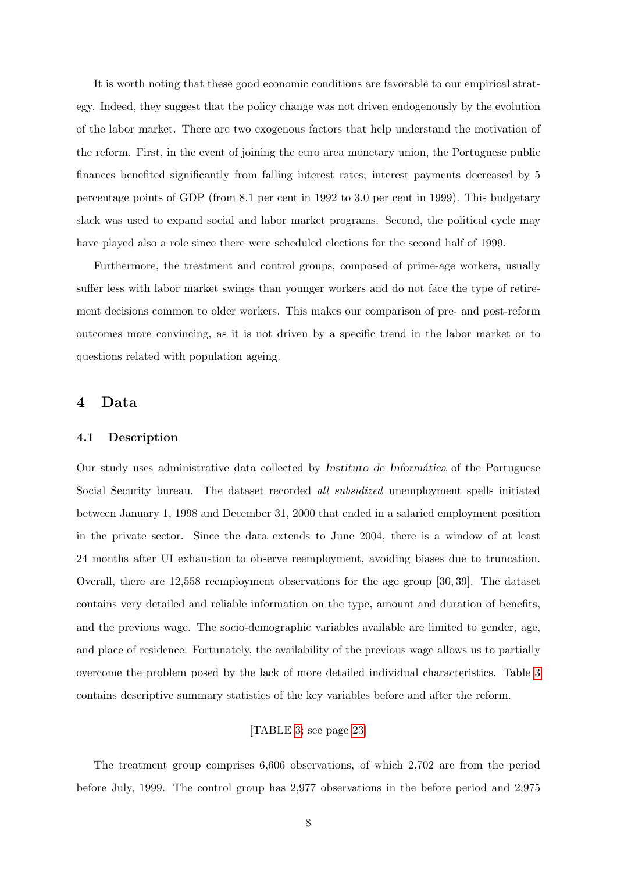It is worth noting that these good economic conditions are favorable to our empirical strategy. Indeed, they suggest that the policy change was not driven endogenously by the evolution of the labor market. There are two exogenous factors that help understand the motivation of the reform. First, in the event of joining the euro area monetary union, the Portuguese public finances benefited significantly from falling interest rates; interest payments decreased by 5 percentage points of GDP (from 8.1 per cent in 1992 to 3.0 per cent in 1999). This budgetary slack was used to expand social and labor market programs. Second, the political cycle may have played also a role since there were scheduled elections for the second half of 1999.

Furthermore, the treatment and control groups, composed of prime-age workers, usually suffer less with labor market swings than younger workers and do not face the type of retirement decisions common to older workers. This makes our comparison of pre- and post-reform outcomes more convincing, as it is not driven by a specific trend in the labor market or to questions related with population ageing.

## 4 Data

#### 4.1 Description

Our study uses administrative data collected by Instituto de Informática of the Portuguese Social Security bureau. The dataset recorded all subsidized unemployment spells initiated between January 1, 1998 and December 31, 2000 that ended in a salaried employment position in the private sector. Since the data extends to June 2004, there is a window of at least 24 months after UI exhaustion to observe reemployment, avoiding biases due to truncation. Overall, there are 12,558 reemployment observations for the age group [30, 39]. The dataset contains very detailed and reliable information on the type, amount and duration of benefits, and the previous wage. The socio-demographic variables available are limited to gender, age, and place of residence. Fortunately, the availability of the previous wage allows us to partially overcome the problem posed by the lack of more detailed individual characteristics. Table [3](#page-22-0) contains descriptive summary statistics of the key variables before and after the reform.

#### [TABLE [3;](#page-22-0) see page [23\]](#page-22-0)

The treatment group comprises 6,606 observations, of which 2,702 are from the period before July, 1999. The control group has 2,977 observations in the before period and 2,975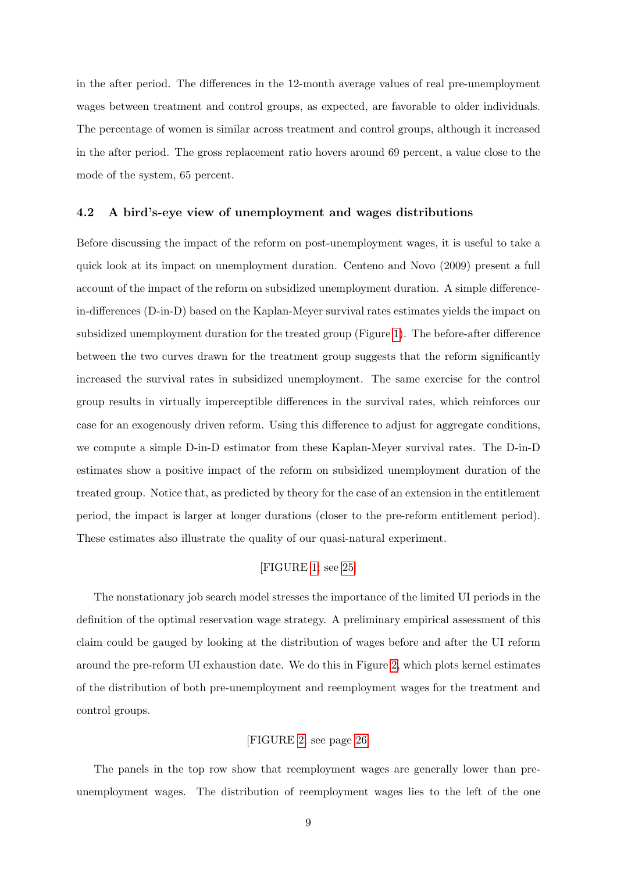in the after period. The differences in the 12-month average values of real pre-unemployment wages between treatment and control groups, as expected, are favorable to older individuals. The percentage of women is similar across treatment and control groups, although it increased in the after period. The gross replacement ratio hovers around 69 percent, a value close to the mode of the system, 65 percent.

#### 4.2 A bird's-eye view of unemployment and wages distributions

Before discussing the impact of the reform on post-unemployment wages, it is useful to take a quick look at its impact on unemployment duration. Centeno and Novo (2009) present a full account of the impact of the reform on subsidized unemployment duration. A simple differencein-differences (D-in-D) based on the Kaplan-Meyer survival rates estimates yields the impact on subsidized unemployment duration for the treated group (Figure [1\)](#page-24-0). The before-after difference between the two curves drawn for the treatment group suggests that the reform significantly increased the survival rates in subsidized unemployment. The same exercise for the control group results in virtually imperceptible differences in the survival rates, which reinforces our case for an exogenously driven reform. Using this difference to adjust for aggregate conditions, we compute a simple D-in-D estimator from these Kaplan-Meyer survival rates. The D-in-D estimates show a positive impact of the reform on subsidized unemployment duration of the treated group. Notice that, as predicted by theory for the case of an extension in the entitlement period, the impact is larger at longer durations (closer to the pre-reform entitlement period). These estimates also illustrate the quality of our quasi-natural experiment.

#### [FIGURE [1;](#page-24-0) see [25\]](#page-24-0)

The nonstationary job search model stresses the importance of the limited UI periods in the definition of the optimal reservation wage strategy. A preliminary empirical assessment of this claim could be gauged by looking at the distribution of wages before and after the UI reform around the pre-reform UI exhaustion date. We do this in Figure [2,](#page-25-0) which plots kernel estimates of the distribution of both pre-unemployment and reemployment wages for the treatment and control groups.

#### [FIGURE [2;](#page-25-0) see page [26\]](#page-25-0)

The panels in the top row show that reemployment wages are generally lower than preunemployment wages. The distribution of reemployment wages lies to the left of the one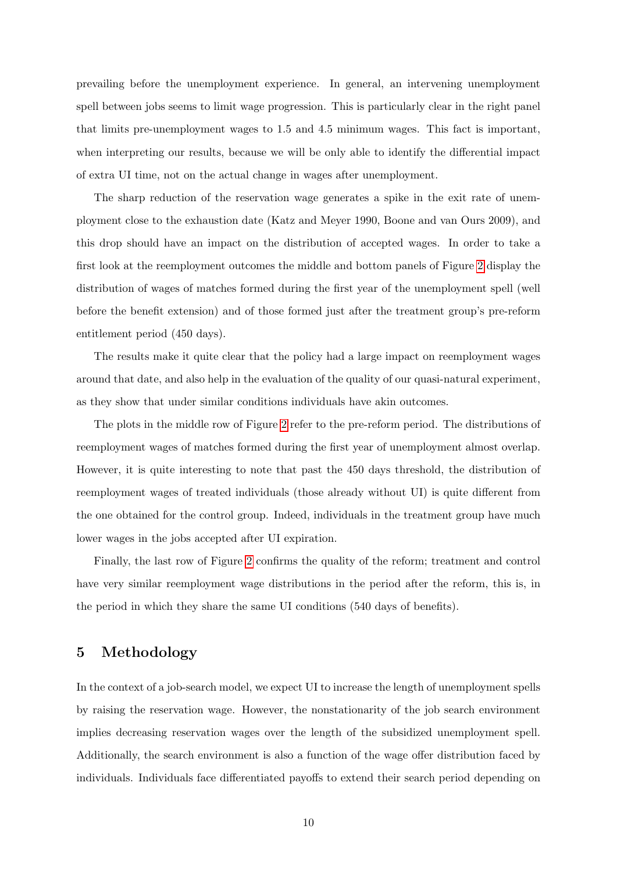prevailing before the unemployment experience. In general, an intervening unemployment spell between jobs seems to limit wage progression. This is particularly clear in the right panel that limits pre-unemployment wages to 1.5 and 4.5 minimum wages. This fact is important, when interpreting our results, because we will be only able to identify the differential impact of extra UI time, not on the actual change in wages after unemployment.

The sharp reduction of the reservation wage generates a spike in the exit rate of unemployment close to the exhaustion date (Katz and Meyer 1990, Boone and van Ours 2009), and this drop should have an impact on the distribution of accepted wages. In order to take a first look at the reemployment outcomes the middle and bottom panels of Figure [2](#page-25-0) display the distribution of wages of matches formed during the first year of the unemployment spell (well before the benefit extension) and of those formed just after the treatment group's pre-reform entitlement period (450 days).

The results make it quite clear that the policy had a large impact on reemployment wages around that date, and also help in the evaluation of the quality of our quasi-natural experiment, as they show that under similar conditions individuals have akin outcomes.

The plots in the middle row of Figure [2](#page-25-0) refer to the pre-reform period. The distributions of reemployment wages of matches formed during the first year of unemployment almost overlap. However, it is quite interesting to note that past the 450 days threshold, the distribution of reemployment wages of treated individuals (those already without UI) is quite different from the one obtained for the control group. Indeed, individuals in the treatment group have much lower wages in the jobs accepted after UI expiration.

Finally, the last row of Figure [2](#page-25-0) confirms the quality of the reform; treatment and control have very similar reemployment wage distributions in the period after the reform, this is, in the period in which they share the same UI conditions (540 days of benefits).

## 5 Methodology

In the context of a job-search model, we expect UI to increase the length of unemployment spells by raising the reservation wage. However, the nonstationarity of the job search environment implies decreasing reservation wages over the length of the subsidized unemployment spell. Additionally, the search environment is also a function of the wage offer distribution faced by individuals. Individuals face differentiated payoffs to extend their search period depending on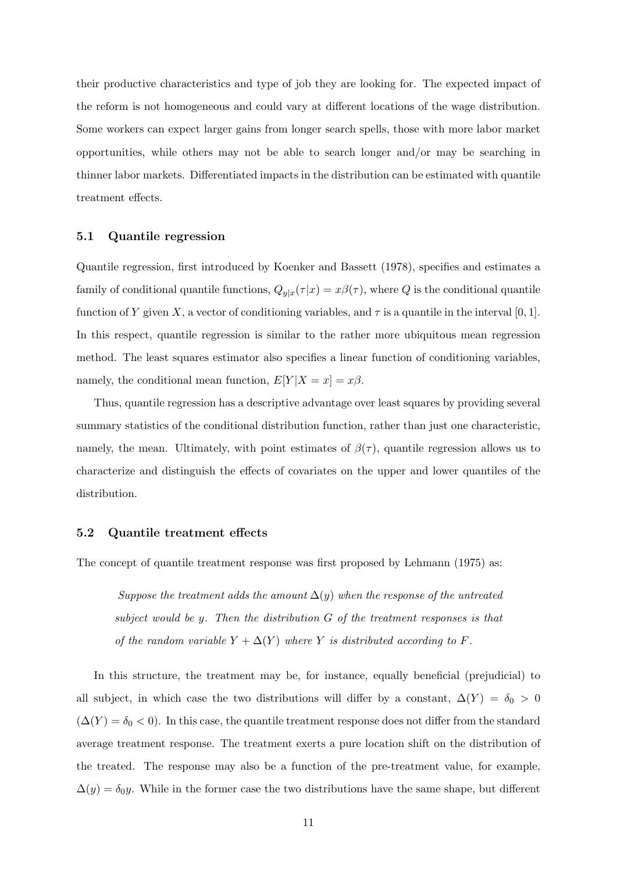their productive characteristics and type of job they are looking for. The expected impact of the reform is not homogeneous and could vary at different locations of the wage distribution. Some workers can expect larger gains from longer search spells, those with more labor market opportunities, while others may not be able to search longer and/or may be searching in thinner labor markets. Differentiated impacts in the distribution can be estimated with quantile treatment effects.

#### 5.1 Quantile regression

Quantile regression, first introduced by Koenker and Bassett (1978), specifies and estimates a family of conditional quantile functions,  $Q_{y|x}(\tau|x) = x\beta(\tau)$ , where Q is the conditional quantile function of Y given X, a vector of conditioning variables, and  $\tau$  is a quantile in the interval [0, 1]. In this respect, quantile regression is similar to the rather more ubiquitous mean regression method. The least squares estimator also specifies a linear function of conditioning variables, namely, the conditional mean function,  $E[Y|X=x] = x\beta$ .

Thus, quantile regression has a descriptive advantage over least squares by providing several summary statistics of the conditional distribution function, rather than just one characteristic, namely, the mean. Ultimately, with point estimates of  $\beta(\tau)$ , quantile regression allows us to characterize and distinguish the effects of covariates on the upper and lower quantiles of the distribution.

#### 5.2 Quantile treatment effects

The concept of quantile treatment response was first proposed by Lehmann (1975) as:

Suppose the treatment adds the amount  $\Delta(y)$  when the response of the untreated subject would be y. Then the distribution G of the treatment responses is that of the random variable  $Y + \Delta(Y)$  where Y is distributed according to F.

In this structure, the treatment may be, for instance, equally beneficial (prejudicial) to all subject, in which case the two distributions will differ by a constant,  $\Delta(Y) = \delta_0 > 0$  $(\Delta(Y) = \delta_0 < 0)$ . In this case, the quantile treatment response does not differ from the standard average treatment response. The treatment exerts a pure location shift on the distribution of the treated. The response may also be a function of the pre-treatment value, for example,  $\Delta(y) = \delta_0 y$ . While in the former case the two distributions have the same shape, but different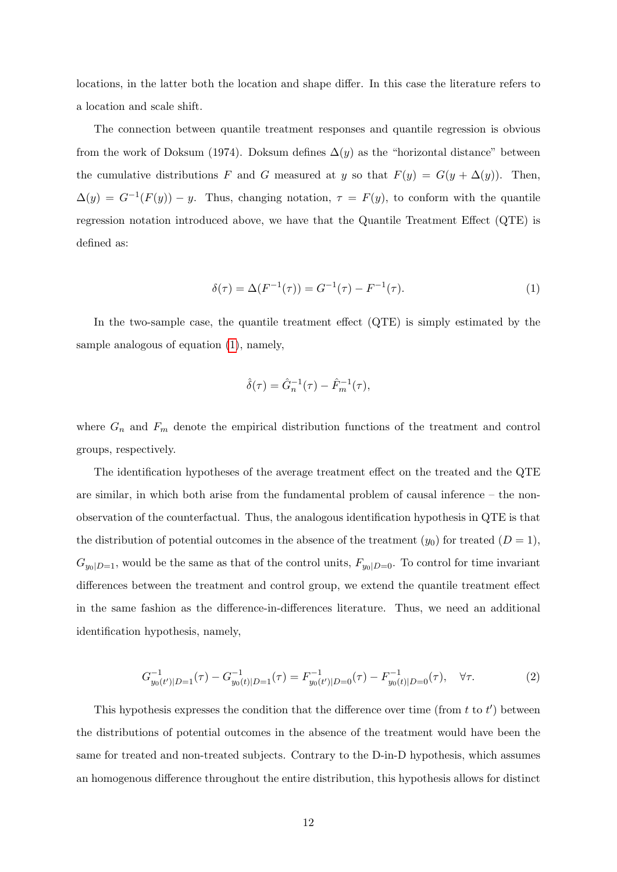locations, in the latter both the location and shape differ. In this case the literature refers to a location and scale shift.

The connection between quantile treatment responses and quantile regression is obvious from the work of Doksum (1974). Doksum defines  $\Delta(y)$  as the "horizontal distance" between the cumulative distributions F and G measured at y so that  $F(y) = G(y + \Delta(y))$ . Then,  $\Delta(y) = G^{-1}(F(y)) - y$ . Thus, changing notation,  $\tau = F(y)$ , to conform with the quantile regression notation introduced above, we have that the Quantile Treatment Effect (QTE) is defined as:

<span id="page-11-0"></span>
$$
\delta(\tau) = \Delta(F^{-1}(\tau)) = G^{-1}(\tau) - F^{-1}(\tau). \tag{1}
$$

In the two-sample case, the quantile treatment effect (QTE) is simply estimated by the sample analogous of equation [\(1\)](#page-11-0), namely,

$$
\hat{\delta}(\tau) = \hat{G}_n^{-1}(\tau) - \hat{F}_m^{-1}(\tau),
$$

where  $G_n$  and  $F_m$  denote the empirical distribution functions of the treatment and control groups, respectively.

The identification hypotheses of the average treatment effect on the treated and the QTE are similar, in which both arise from the fundamental problem of causal inference – the nonobservation of the counterfactual. Thus, the analogous identification hypothesis in QTE is that the distribution of potential outcomes in the absence of the treatment  $(y_0)$  for treated  $(D = 1)$ ,  $G_{y_0|D=1}$ , would be the same as that of the control units,  $F_{y_0|D=0}$ . To control for time invariant differences between the treatment and control group, we extend the quantile treatment effect in the same fashion as the difference-in-differences literature. Thus, we need an additional identification hypothesis, namely,

$$
G_{y_0(t')|D=1}^{-1}(\tau) - G_{y_0(t)|D=1}^{-1}(\tau) = F_{y_0(t')|D=0}^{-1}(\tau) - F_{y_0(t)|D=0}^{-1}(\tau), \quad \forall \tau.
$$
 (2)

This hypothesis expresses the condition that the difference over time (from  $t$  to  $t'$ ) between the distributions of potential outcomes in the absence of the treatment would have been the same for treated and non-treated subjects. Contrary to the D-in-D hypothesis, which assumes an homogenous difference throughout the entire distribution, this hypothesis allows for distinct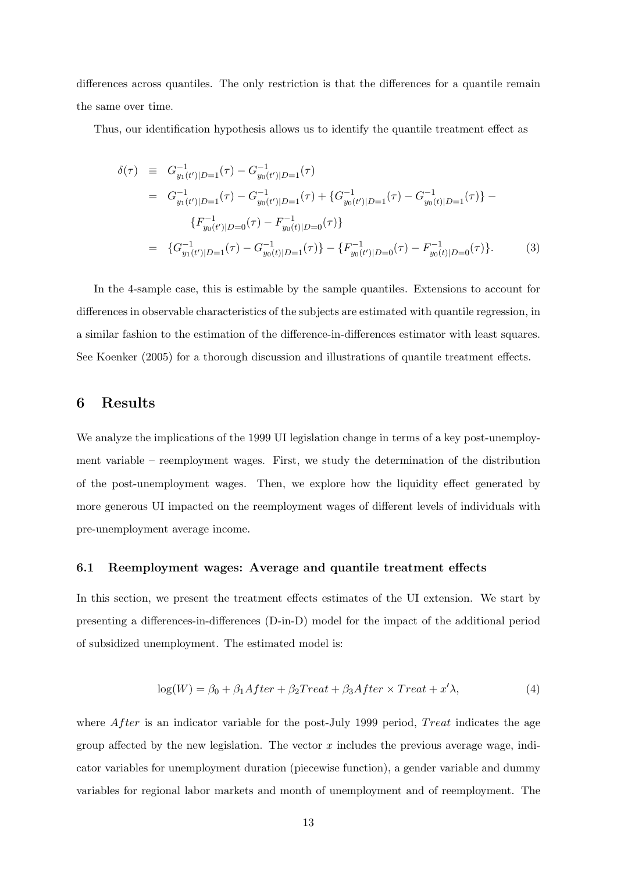differences across quantiles. The only restriction is that the differences for a quantile remain the same over time.

Thus, our identification hypothesis allows us to identify the quantile treatment effect as

$$
\delta(\tau) \equiv G_{y_1(t')|D=1}^{-1}(\tau) - G_{y_0(t')|D=1}^{-1}(\tau)
$$
\n
$$
= G_{y_1(t')|D=1}^{-1}(\tau) - G_{y_0(t')|D=1}^{-1}(\tau) + \{G_{y_0(t')|D=1}^{-1}(\tau) - G_{y_0(t)|D=1}^{-1}(\tau)\} - \{F_{y_0(t')|D=0}^{-1}(\tau) - F_{y_0(t)|D=0}^{-1}(\tau)\}
$$
\n
$$
= \{G_{y_1(t')|D=1}^{-1}(\tau) - G_{y_0(t)|D=1}^{-1}(\tau)\} - \{F_{y_0(t')|D=0}^{-1}(\tau) - F_{y_0(t)|D=0}^{-1}(\tau)\}.
$$
\n(3)

In the 4-sample case, this is estimable by the sample quantiles. Extensions to account for differences in observable characteristics of the subjects are estimated with quantile regression, in a similar fashion to the estimation of the difference-in-differences estimator with least squares. See Koenker (2005) for a thorough discussion and illustrations of quantile treatment effects.

## 6 Results

We analyze the implications of the 1999 UI legislation change in terms of a key post-unemployment variable – reemployment wages. First, we study the determination of the distribution of the post-unemployment wages. Then, we explore how the liquidity effect generated by more generous UI impacted on the reemployment wages of different levels of individuals with pre-unemployment average income.

#### 6.1 Reemployment wages: Average and quantile treatment effects

In this section, we present the treatment effects estimates of the UI extension. We start by presenting a differences-in-differences (D-in-D) model for the impact of the additional period of subsidized unemployment. The estimated model is:

<span id="page-12-0"></span>
$$
log(W) = \beta_0 + \beta_1 After + \beta_2 Treat + \beta_3 After \times Treat + x' \lambda,
$$
\n(4)

where  $After$  is an indicator variable for the post-July 1999 period, Treat indicates the age group affected by the new legislation. The vector  $x$  includes the previous average wage, indicator variables for unemployment duration (piecewise function), a gender variable and dummy variables for regional labor markets and month of unemployment and of reemployment. The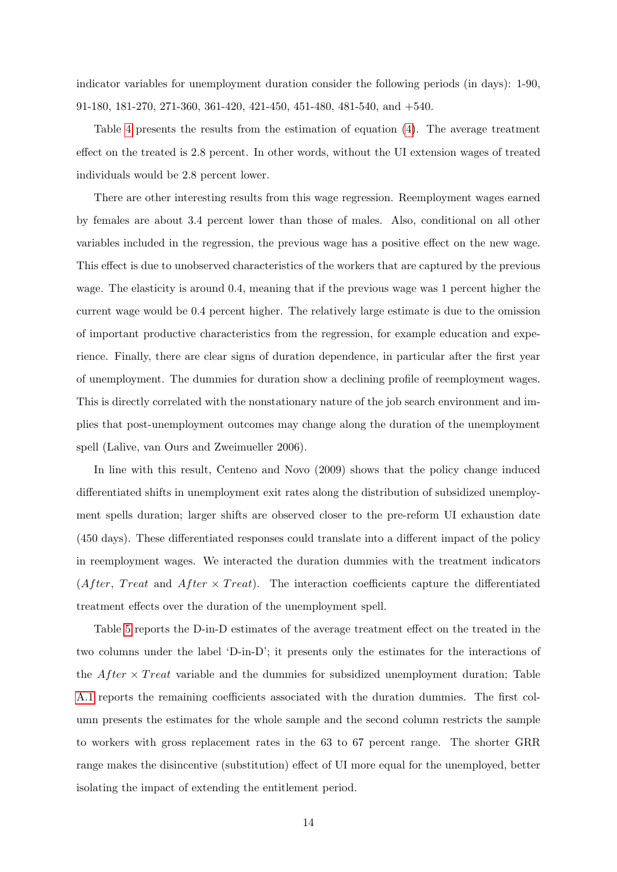indicator variables for unemployment duration consider the following periods (in days): 1-90, 91-180, 181-270, 271-360, 361-420, 421-450, 451-480, 481-540, and +540.

Table [4](#page-22-1) presents the results from the estimation of equation [\(4\)](#page-12-0). The average treatment effect on the treated is 2.8 percent. In other words, without the UI extension wages of treated individuals would be 2.8 percent lower.

There are other interesting results from this wage regression. Reemployment wages earned by females are about 3.4 percent lower than those of males. Also, conditional on all other variables included in the regression, the previous wage has a positive effect on the new wage. This effect is due to unobserved characteristics of the workers that are captured by the previous wage. The elasticity is around 0.4, meaning that if the previous wage was 1 percent higher the current wage would be 0.4 percent higher. The relatively large estimate is due to the omission of important productive characteristics from the regression, for example education and experience. Finally, there are clear signs of duration dependence, in particular after the first year of unemployment. The dummies for duration show a declining profile of reemployment wages. This is directly correlated with the nonstationary nature of the job search environment and implies that post-unemployment outcomes may change along the duration of the unemployment spell (Lalive, van Ours and Zweimueller 2006).

In line with this result, Centeno and Novo (2009) shows that the policy change induced differentiated shifts in unemployment exit rates along the distribution of subsidized unemployment spells duration; larger shifts are observed closer to the pre-reform UI exhaustion date (450 days). These differentiated responses could translate into a different impact of the policy in reemployment wages. We interacted the duration dummies with the treatment indicators (After, Treat and After  $\times$  Treat). The interaction coefficients capture the differentiated treatment effects over the duration of the unemployment spell.

Table [5](#page-23-0) reports the D-in-D estimates of the average treatment effect on the treated in the two columns under the label 'D-in-D'; it presents only the estimates for the interactions of the  $After \times Treat$  variable and the dummies for subsidized unemployment duration; Table [A.1](#page-28-0) reports the remaining coefficients associated with the duration dummies. The first column presents the estimates for the whole sample and the second column restricts the sample to workers with gross replacement rates in the 63 to 67 percent range. The shorter GRR range makes the disincentive (substitution) effect of UI more equal for the unemployed, better isolating the impact of extending the entitlement period.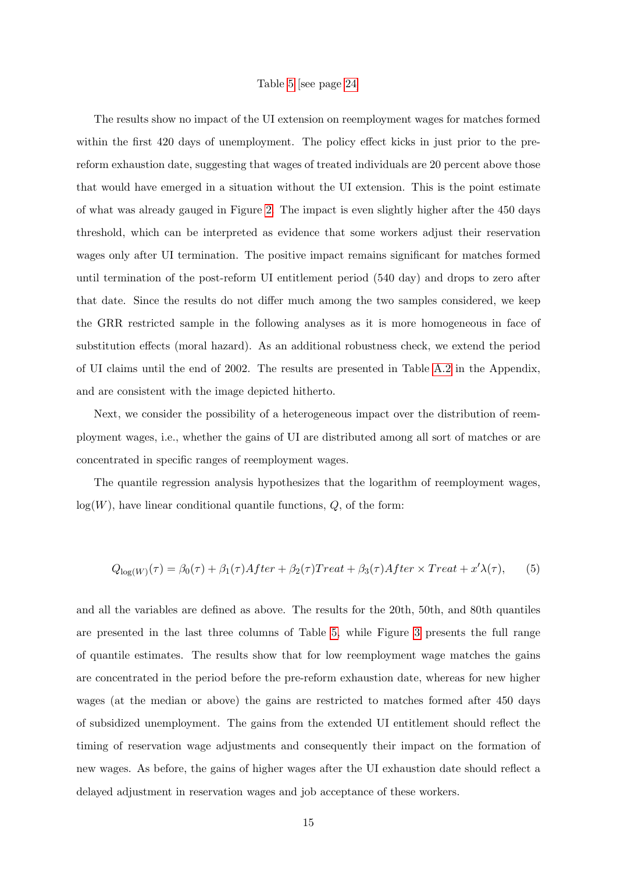#### Table [5](#page-23-0) [see page [24\]](#page-23-0)

The results show no impact of the UI extension on reemployment wages for matches formed within the first 420 days of unemployment. The policy effect kicks in just prior to the prereform exhaustion date, suggesting that wages of treated individuals are 20 percent above those that would have emerged in a situation without the UI extension. This is the point estimate of what was already gauged in Figure [2.](#page-25-0) The impact is even slightly higher after the 450 days threshold, which can be interpreted as evidence that some workers adjust their reservation wages only after UI termination. The positive impact remains significant for matches formed until termination of the post-reform UI entitlement period (540 day) and drops to zero after that date. Since the results do not differ much among the two samples considered, we keep the GRR restricted sample in the following analyses as it is more homogeneous in face of substitution effects (moral hazard). As an additional robustness check, we extend the period of UI claims until the end of 2002. The results are presented in Table [A.2](#page-29-0) in the Appendix, and are consistent with the image depicted hitherto.

Next, we consider the possibility of a heterogeneous impact over the distribution of reemployment wages, i.e., whether the gains of UI are distributed among all sort of matches or are concentrated in specific ranges of reemployment wages.

The quantile regression analysis hypothesizes that the logarithm of reemployment wages,  $log(W)$ , have linear conditional quantile functions,  $Q$ , of the form:

$$
Q_{\log(W)}(\tau) = \beta_0(\tau) + \beta_1(\tau) After + \beta_2(\tau) Treat + \beta_3(\tau) After \times Treat + x' \lambda(\tau),
$$
 (5)

and all the variables are defined as above. The results for the 20th, 50th, and 80th quantiles are presented in the last three columns of Table [5,](#page-23-0) while Figure [3](#page-26-0) presents the full range of quantile estimates. The results show that for low reemployment wage matches the gains are concentrated in the period before the pre-reform exhaustion date, whereas for new higher wages (at the median or above) the gains are restricted to matches formed after 450 days of subsidized unemployment. The gains from the extended UI entitlement should reflect the timing of reservation wage adjustments and consequently their impact on the formation of new wages. As before, the gains of higher wages after the UI exhaustion date should reflect a delayed adjustment in reservation wages and job acceptance of these workers.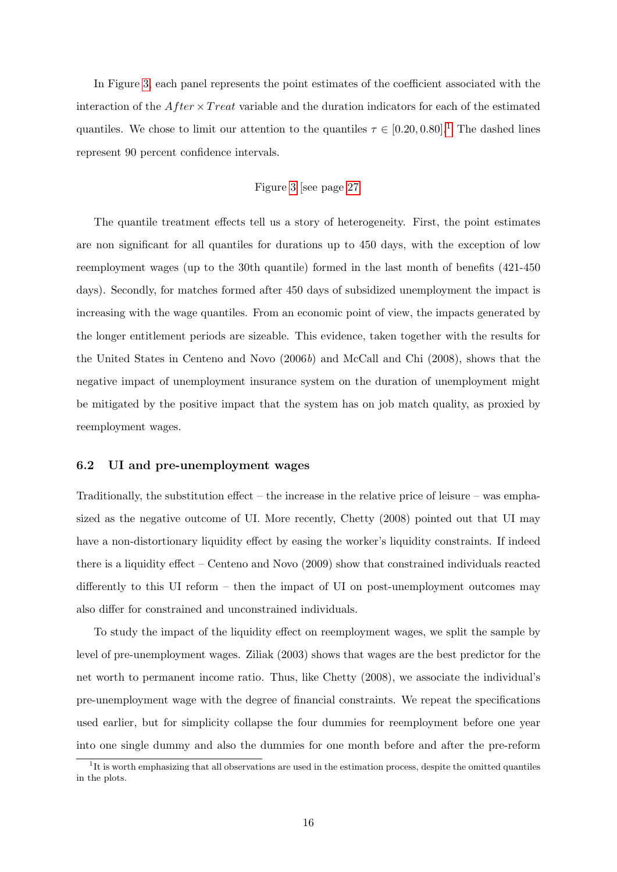In Figure [3,](#page-26-0) each panel represents the point estimates of the coefficient associated with the interaction of the  $After \times Treat$  variable and the duration indicators for each of the estimated quantiles. We chose to limit our attention to the quantiles  $\tau \in [0.20, 0.80]$ .<sup>[1](#page-15-0)</sup> The dashed lines represent 90 percent confidence intervals.

## Figure [3](#page-26-0) [see page [27\]](#page-26-0)

The quantile treatment effects tell us a story of heterogeneity. First, the point estimates are non significant for all quantiles for durations up to 450 days, with the exception of low reemployment wages (up to the 30th quantile) formed in the last month of benefits (421-450 days). Secondly, for matches formed after 450 days of subsidized unemployment the impact is increasing with the wage quantiles. From an economic point of view, the impacts generated by the longer entitlement periods are sizeable. This evidence, taken together with the results for the United States in Centeno and Novo (2006b) and McCall and Chi (2008), shows that the negative impact of unemployment insurance system on the duration of unemployment might be mitigated by the positive impact that the system has on job match quality, as proxied by reemployment wages.

#### 6.2 UI and pre-unemployment wages

Traditionally, the substitution effect – the increase in the relative price of leisure – was emphasized as the negative outcome of UI. More recently, Chetty (2008) pointed out that UI may have a non-distortionary liquidity effect by easing the worker's liquidity constraints. If indeed there is a liquidity effect – Centeno and Novo (2009) show that constrained individuals reacted differently to this UI reform – then the impact of UI on post-unemployment outcomes may also differ for constrained and unconstrained individuals.

To study the impact of the liquidity effect on reemployment wages, we split the sample by level of pre-unemployment wages. Ziliak (2003) shows that wages are the best predictor for the net worth to permanent income ratio. Thus, like Chetty (2008), we associate the individual's pre-unemployment wage with the degree of financial constraints. We repeat the specifications used earlier, but for simplicity collapse the four dummies for reemployment before one year into one single dummy and also the dummies for one month before and after the pre-reform

<span id="page-15-0"></span><sup>&</sup>lt;sup>1</sup>It is worth emphasizing that all observations are used in the estimation process, despite the omitted quantiles in the plots.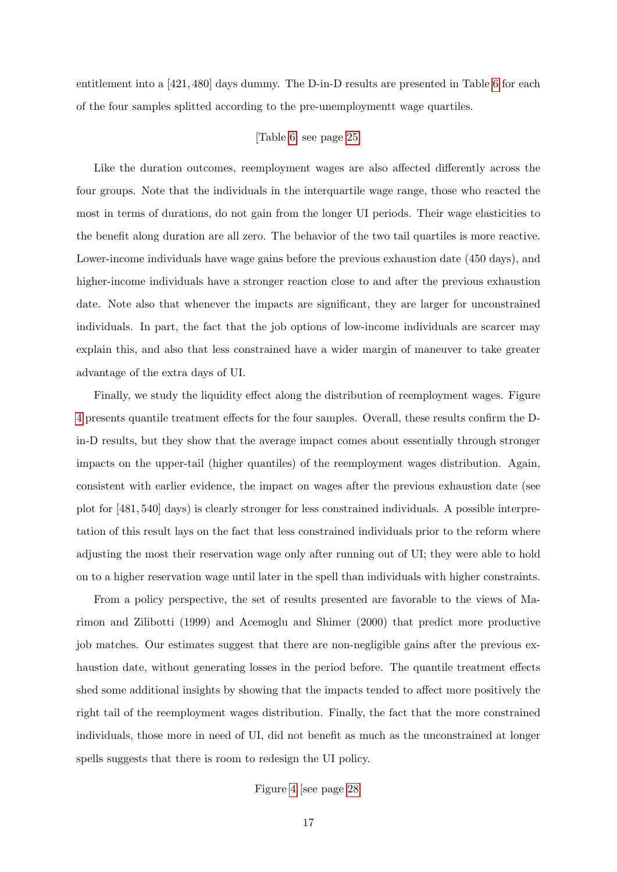entitlement into a [421, 480] days dummy. The D-in-D results are presented in Table [6](#page-24-1) for each of the four samples splitted according to the pre-unemploymentt wage quartiles.

#### [Table [6;](#page-24-1) see page [25\]](#page-24-1)

Like the duration outcomes, reemployment wages are also affected differently across the four groups. Note that the individuals in the interquartile wage range, those who reacted the most in terms of durations, do not gain from the longer UI periods. Their wage elasticities to the benefit along duration are all zero. The behavior of the two tail quartiles is more reactive. Lower-income individuals have wage gains before the previous exhaustion date (450 days), and higher-income individuals have a stronger reaction close to and after the previous exhaustion date. Note also that whenever the impacts are significant, they are larger for unconstrained individuals. In part, the fact that the job options of low-income individuals are scarcer may explain this, and also that less constrained have a wider margin of maneuver to take greater advantage of the extra days of UI.

Finally, we study the liquidity effect along the distribution of reemployment wages. Figure [4](#page-27-0) presents quantile treatment effects for the four samples. Overall, these results confirm the Din-D results, but they show that the average impact comes about essentially through stronger impacts on the upper-tail (higher quantiles) of the reemployment wages distribution. Again, consistent with earlier evidence, the impact on wages after the previous exhaustion date (see plot for [481, 540] days) is clearly stronger for less constrained individuals. A possible interpretation of this result lays on the fact that less constrained individuals prior to the reform where adjusting the most their reservation wage only after running out of UI; they were able to hold on to a higher reservation wage until later in the spell than individuals with higher constraints.

From a policy perspective, the set of results presented are favorable to the views of Marimon and Zilibotti (1999) and Acemoglu and Shimer (2000) that predict more productive job matches. Our estimates suggest that there are non-negligible gains after the previous exhaustion date, without generating losses in the period before. The quantile treatment effects shed some additional insights by showing that the impacts tended to affect more positively the right tail of the reemployment wages distribution. Finally, the fact that the more constrained individuals, those more in need of UI, did not benefit as much as the unconstrained at longer spells suggests that there is room to redesign the UI policy.

Figure [4](#page-27-0) [see page [28\]](#page-27-0)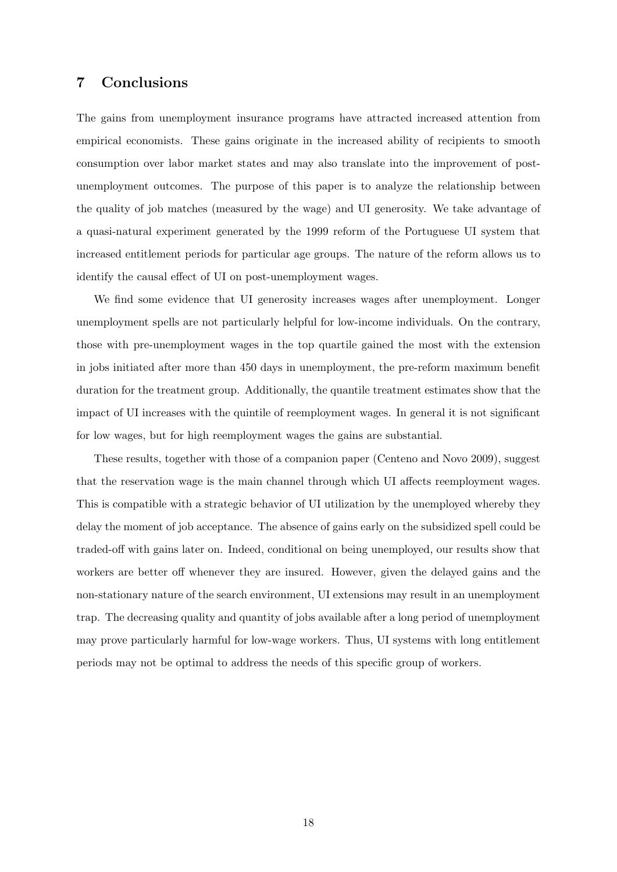## 7 Conclusions

The gains from unemployment insurance programs have attracted increased attention from empirical economists. These gains originate in the increased ability of recipients to smooth consumption over labor market states and may also translate into the improvement of postunemployment outcomes. The purpose of this paper is to analyze the relationship between the quality of job matches (measured by the wage) and UI generosity. We take advantage of a quasi-natural experiment generated by the 1999 reform of the Portuguese UI system that increased entitlement periods for particular age groups. The nature of the reform allows us to identify the causal effect of UI on post-unemployment wages.

We find some evidence that UI generosity increases wages after unemployment. Longer unemployment spells are not particularly helpful for low-income individuals. On the contrary, those with pre-unemployment wages in the top quartile gained the most with the extension in jobs initiated after more than 450 days in unemployment, the pre-reform maximum benefit duration for the treatment group. Additionally, the quantile treatment estimates show that the impact of UI increases with the quintile of reemployment wages. In general it is not significant for low wages, but for high reemployment wages the gains are substantial.

These results, together with those of a companion paper (Centeno and Novo 2009), suggest that the reservation wage is the main channel through which UI affects reemployment wages. This is compatible with a strategic behavior of UI utilization by the unemployed whereby they delay the moment of job acceptance. The absence of gains early on the subsidized spell could be traded-off with gains later on. Indeed, conditional on being unemployed, our results show that workers are better off whenever they are insured. However, given the delayed gains and the non-stationary nature of the search environment, UI extensions may result in an unemployment trap. The decreasing quality and quantity of jobs available after a long period of unemployment may prove particularly harmful for low-wage workers. Thus, UI systems with long entitlement periods may not be optimal to address the needs of this specific group of workers.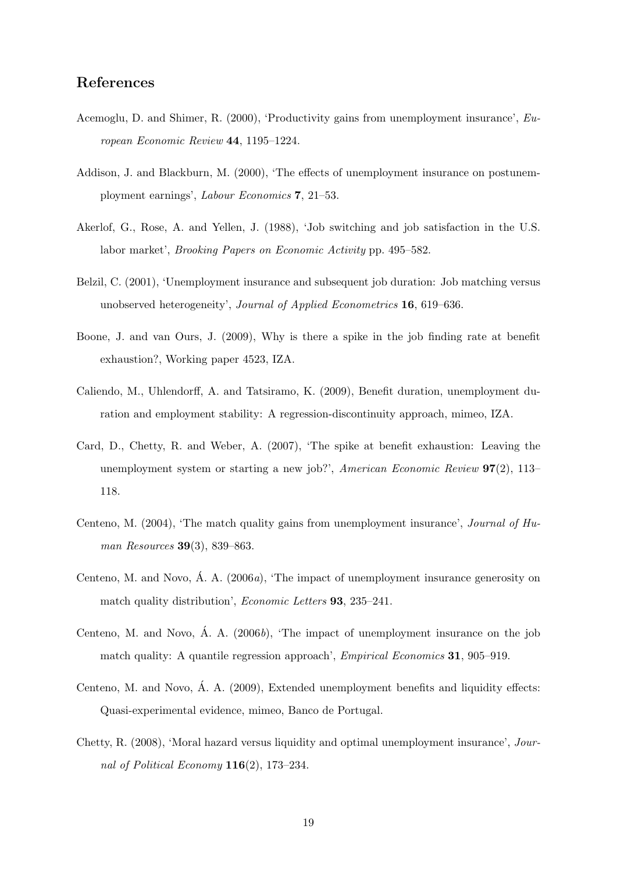## References

- Acemoglu, D. and Shimer, R. (2000), 'Productivity gains from unemployment insurance', European Economic Review 44, 1195–1224.
- Addison, J. and Blackburn, M. (2000), 'The effects of unemployment insurance on postunemployment earnings', Labour Economics 7, 21–53.
- Akerlof, G., Rose, A. and Yellen, J. (1988), 'Job switching and job satisfaction in the U.S. labor market', Brooking Papers on Economic Activity pp. 495–582.
- Belzil, C. (2001), 'Unemployment insurance and subsequent job duration: Job matching versus unobserved heterogeneity', Journal of Applied Econometrics 16, 619–636.
- Boone, J. and van Ours, J. (2009), Why is there a spike in the job finding rate at benefit exhaustion?, Working paper 4523, IZA.
- Caliendo, M., Uhlendorff, A. and Tatsiramo, K. (2009), Benefit duration, unemployment duration and employment stability: A regression-discontinuity approach, mimeo, IZA.
- Card, D., Chetty, R. and Weber, A. (2007), 'The spike at benefit exhaustion: Leaving the unemployment system or starting a new job?', American Economic Review  $97(2)$ , 113– 118.
- Centeno, M. (2004), 'The match quality gains from unemployment insurance', Journal of Human Resources 39(3), 839–863.
- Centeno, M. and Novo,  $\hat{A}$ ,  $A$ . (2006*a*), 'The impact of unemployment insurance generosity on match quality distribution', *Economic Letters* **93**, 235–241.
- Centeno, M. and Novo,  $\acute{A}$ . A. (2006*b*), 'The impact of unemployment insurance on the job match quality: A quantile regression approach', *Empirical Economics* 31, 905–919.
- Centeno, M. and Novo, Á. A.  $(2009)$ . Extended unemployment benefits and liquidity effects: Quasi-experimental evidence, mimeo, Banco de Portugal.
- Chetty, R. (2008), 'Moral hazard versus liquidity and optimal unemployment insurance', Journal of Political Economy 116(2), 173–234.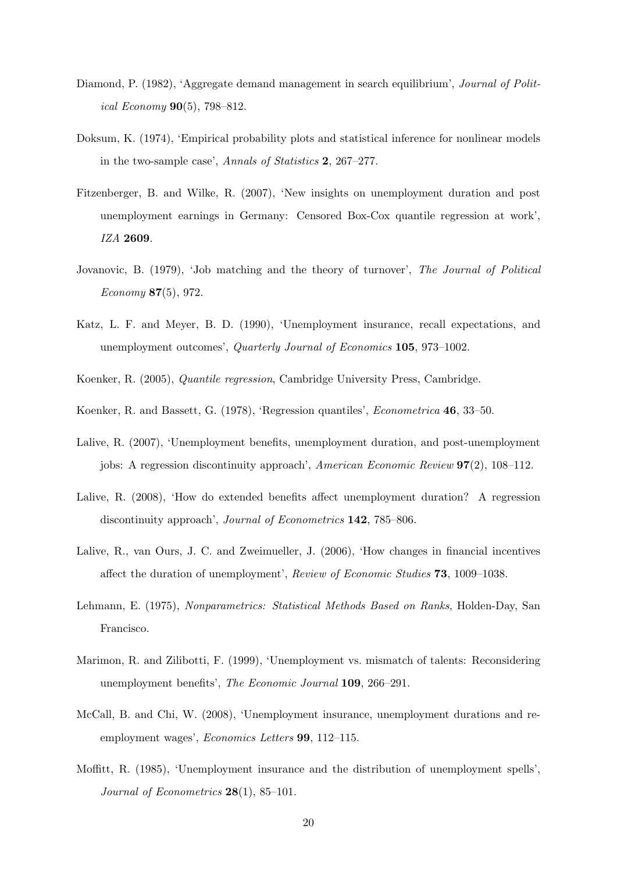- Diamond, P. (1982), 'Aggregate demand management in search equilibrium', Journal of Political Economy  $90(5)$ , 798-812.
- Doksum, K. (1974), 'Empirical probability plots and statistical inference for nonlinear models in the two-sample case', Annals of Statistics 2, 267–277.
- Fitzenberger, B. and Wilke, R. (2007), 'New insights on unemployment duration and post unemployment earnings in Germany: Censored Box-Cox quantile regression at work', IZA 2609.
- Jovanovic, B. (1979), 'Job matching and the theory of turnover', The Journal of Political Economy 87(5), 972.
- Katz, L. F. and Meyer, B. D. (1990), 'Unemployment insurance, recall expectations, and unemployment outcomes', Quarterly Journal of Economics 105, 973–1002.
- Koenker, R. (2005), Quantile regression, Cambridge University Press, Cambridge.
- Koenker, R. and Bassett, G. (1978), 'Regression quantiles', Econometrica 46, 33–50.
- Lalive, R. (2007), 'Unemployment benefits, unemployment duration, and post-unemployment jobs: A regression discontinuity approach', American Economic Review 97(2), 108–112.
- Lalive, R. (2008), 'How do extended benefits affect unemployment duration? A regression discontinuity approach', *Journal of Econometrics* **142**, 785–806.
- Lalive, R., van Ours, J. C. and Zweimueller, J. (2006), 'How changes in financial incentives affect the duration of unemployment', Review of Economic Studies 73, 1009–1038.
- Lehmann, E. (1975), Nonparametrics: Statistical Methods Based on Ranks, Holden-Day, San Francisco.
- Marimon, R. and Zilibotti, F. (1999), 'Unemployment vs. mismatch of talents: Reconsidering unemployment benefits', The Economic Journal 109, 266–291.
- McCall, B. and Chi, W. (2008), 'Unemployment insurance, unemployment durations and reemployment wages', *Economics Letters* **99**, 112–115.
- Moffitt, R. (1985), 'Unemployment insurance and the distribution of unemployment spells', Journal of Econometrics  $28(1)$ , 85-101.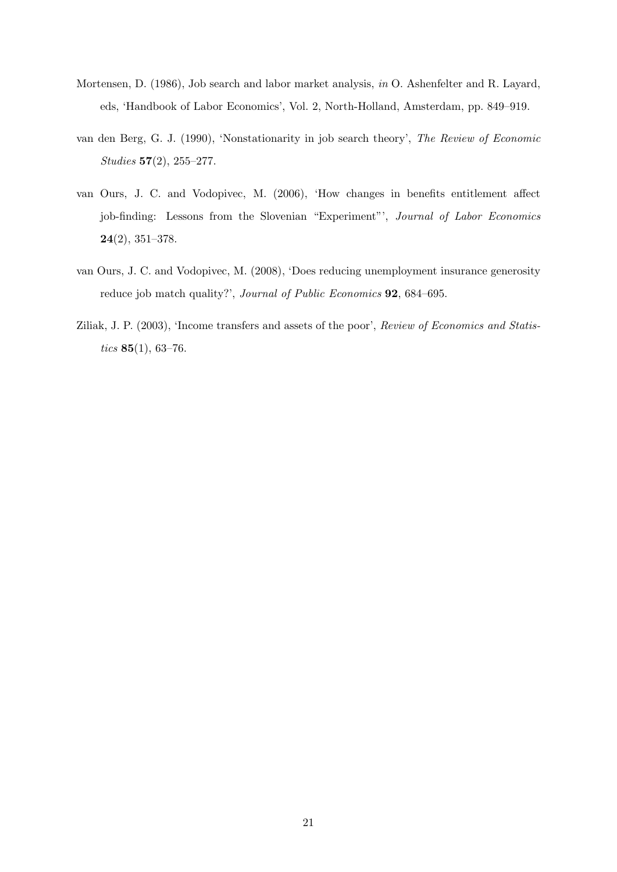- Mortensen, D. (1986), Job search and labor market analysis, in O. Ashenfelter and R. Layard, eds, 'Handbook of Labor Economics', Vol. 2, North-Holland, Amsterdam, pp. 849–919.
- van den Berg, G. J. (1990), 'Nonstationarity in job search theory', The Review of Economic Studies 57(2), 255–277.
- van Ours, J. C. and Vodopivec, M. (2006), 'How changes in benefits entitlement affect job-finding: Lessons from the Slovenian "Experiment"', Journal of Labor Economics 24(2), 351–378.
- van Ours, J. C. and Vodopivec, M. (2008), 'Does reducing unemployment insurance generosity reduce job match quality?', Journal of Public Economics **92**, 684–695.
- Ziliak, J. P. (2003), 'Income transfers and assets of the poor', Review of Economics and Statistics  $85(1)$ , 63-76.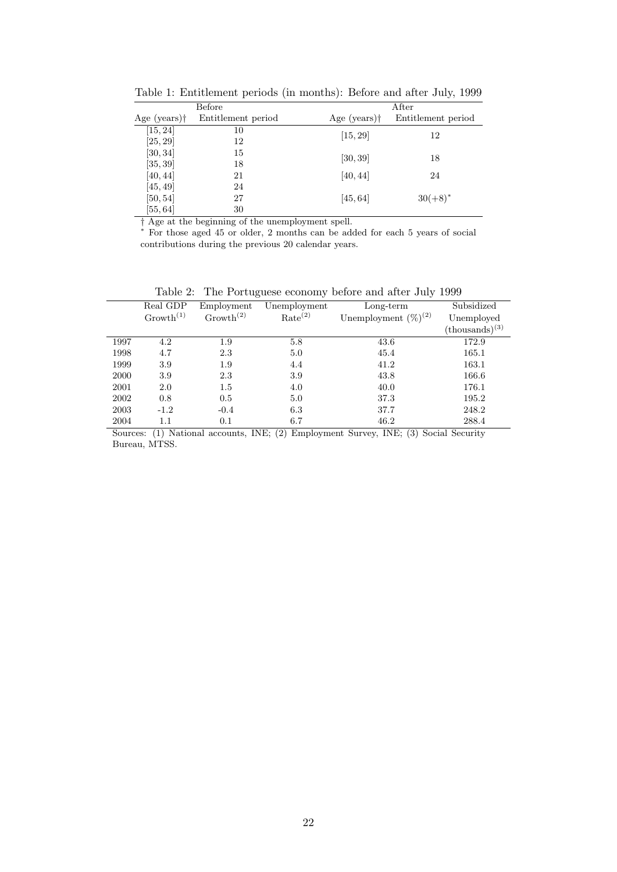| Before                                      |    | After                 |                    |  |  |
|---------------------------------------------|----|-----------------------|--------------------|--|--|
| Age (years) $\dagger$<br>Entitlement period |    | Age (years) $\dagger$ | Entitlement period |  |  |
| [15, 24]                                    | 10 | [15, 29]              | 12                 |  |  |
| [25, 29]                                    | 12 |                       |                    |  |  |
| [30, 34]                                    | 15 | [30, 39]              | 18                 |  |  |
| [35, 39]                                    | 18 |                       |                    |  |  |
| [40, 44]                                    | 21 | [40, 44]              | 24                 |  |  |
| [45, 49]                                    | 24 |                       |                    |  |  |
| [50, 54]                                    | 27 | [45, 64]              | $30(+8)^*$         |  |  |
| [55, 64]                                    | 30 |                       |                    |  |  |

<span id="page-21-0"></span>Table 1: Entitlement periods (in months): Before and after July, 1999

† Age at the beginning of the unemployment spell.

<sup>∗</sup> For those aged 45 or older, 2 months can be added for each 5 years of social contributions during the previous 20 calendar years.

<span id="page-21-1"></span>Table 2: The Portuguese economy before and after July 1999

|      | Real GDP              | Employment            | Unemployment        | $Long-term$               | Subsidized                 |
|------|-----------------------|-----------------------|---------------------|---------------------------|----------------------------|
|      | Growth <sup>(1)</sup> | Growth <sup>(2)</sup> | Rate <sup>(2)</sup> | Unemployment $(\%)^{(2)}$ | Unemployed                 |
|      |                       |                       |                     |                           | $(\text{thousands})^{(3)}$ |
| 1997 | 4.2                   | 1.9                   | 5.8                 | 43.6                      | 172.9                      |
| 1998 | 4.7                   | 2.3                   | 5.0                 | 45.4                      | 165.1                      |
| 1999 | 3.9                   | 1.9                   | 4.4                 | 41.2                      | 163.1                      |
| 2000 | 3.9                   | 2.3                   | 3.9                 | 43.8                      | 166.6                      |
| 2001 | 2.0                   | $1.5\,$               | 4.0                 | 40.0                      | 176.1                      |
| 2002 | 0.8                   | 0.5                   | 5.0                 | 37.3                      | 195.2                      |
| 2003 | $-1.2$                | $-0.4$                | 6.3                 | 37.7                      | 248.2                      |
| 2004 | 1.1                   | 0.1                   | 6.7                 | 46.2                      | 288.4                      |

Sources: (1) National accounts, INE; (2) Employment Survey, INE; (3) Social Security Bureau, MTSS.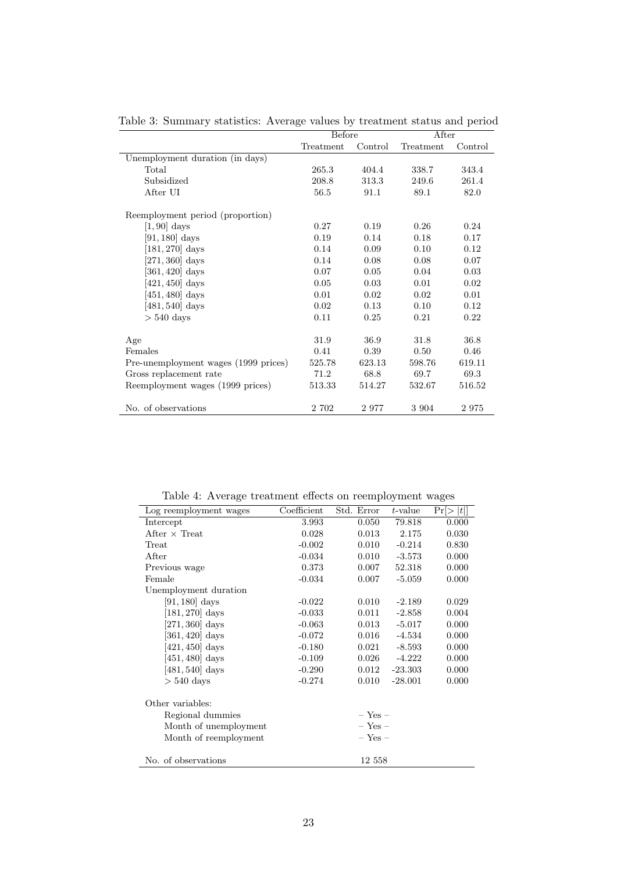|                                      | Before    |         | After     |         |  |
|--------------------------------------|-----------|---------|-----------|---------|--|
|                                      | Treatment | Control | Treatment | Control |  |
| Unemployment duration (in days)      |           |         |           |         |  |
| Total                                | 265.3     | 404.4   | 338.7     | 343.4   |  |
| Subsidized                           | 208.8     | 313.3   | 249.6     | 261.4   |  |
| After UI                             | 56.5      | 91.1    | 89.1      | 82.0    |  |
| Reemployment period (proportion)     |           |         |           |         |  |
| $[1, 90]$ days                       | 0.27      | 0.19    | 0.26      | 0.24    |  |
| $[91, 180]$ days                     | 0.19      | 0.14    | 0.18      | 0.17    |  |
| $[181, 270]$ days                    | 0.14      | 0.09    | 0.10      | 0.12    |  |
| $[271, 360]$ days                    | 0.14      | 0.08    | 0.08      | 0.07    |  |
| $[361, 420]$ days                    | 0.07      | 0.05    | 0.04      | 0.03    |  |
| $[421, 450]$ days                    | 0.05      | 0.03    | 0.01      | 0.02    |  |
| $[451, 480]$ days                    | 0.01      | 0.02    | 0.02      | 0.01    |  |
| $[481, 540]$ days                    | 0.02      | 0.13    | 0.10      | 0.12    |  |
| $> 540$ days                         | 0.11      | 0.25    | 0.21      | 0.22    |  |
|                                      |           |         |           |         |  |
| Age                                  | 31.9      | 36.9    | 31.8      | 36.8    |  |
| Females                              | 0.41      | 0.39    | 0.50      | 0.46    |  |
| Pre-unemployment wages (1999 prices) | 525.78    | 623.13  | 598.76    | 619.11  |  |
| Gross replacement rate               | 71.2      | 68.8    | 69.7      | 69.3    |  |
| Reemployment wages (1999 prices)     | 513.33    | 514.27  | 532.67    | 516.52  |  |
|                                      |           |         |           |         |  |
| No. of observations                  | 2 702     | 2977    | 3 9 0 4   | 2975    |  |

<span id="page-22-0"></span>Table 3: Summary statistics: Average values by treatment status and period

<span id="page-22-1"></span>Table 4: Average treatment effects on reemployment wages

|                        |             |             |            | ີເລ       |
|------------------------|-------------|-------------|------------|-----------|
| Log reemployment wages | Coefficient | Std. Error  | $t$ -value | Pr[>  t ] |
| Intercept              | 3.993       | 0.050       | 79.818     | 0.000     |
| After $\times$ Treat   | 0.028       | 0.013       | 2.175      | 0.030     |
| Treat                  | $-0.002$    | 0.010       | $-0.214$   | 0.830     |
| After                  | $-0.034$    | 0.010       | $-3.573$   | 0.000     |
| Previous wage          | 0.373       | 0.007       | 52.318     | 0.000     |
| Female                 | $-0.034$    | 0.007       | $-5.059$   | 0.000     |
| Unemployment duration  |             |             |            |           |
| $[91, 180]$ days       | $-0.022$    | 0.010       | $-2.189$   | 0.029     |
| $[181, 270]$ days      | $-0.033$    | 0.011       | $-2.858$   | 0.004     |
| $[271, 360]$ days      | $-0.063$    | 0.013       | $-5.017$   | 0.000     |
| $[361, 420]$ days      | $-0.072$    | 0.016       | $-4.534$   | 0.000     |
| $[421, 450]$ days      | $-0.180$    | 0.021       | $-8.593$   | 0.000     |
| $[451, 480]$ days      | $-0.109$    | 0.026       | $-4.222$   | 0.000     |
| $[481, 540]$ days      | $-0.290$    | 0.012       | $-23.303$  | 0.000     |
| $> 540$ days           | $-0.274$    | 0.010       | $-28.001$  | 0.000     |
| Other variables:       |             |             |            |           |
| Regional dummies       |             | $-$ Yes $-$ |            |           |
| Month of unemployment  |             | $-$ Yes $-$ |            |           |
| Month of reemployment  |             | $-$ Yes $-$ |            |           |
|                        |             |             |            |           |
| No. of observations    |             | 12 558      |            |           |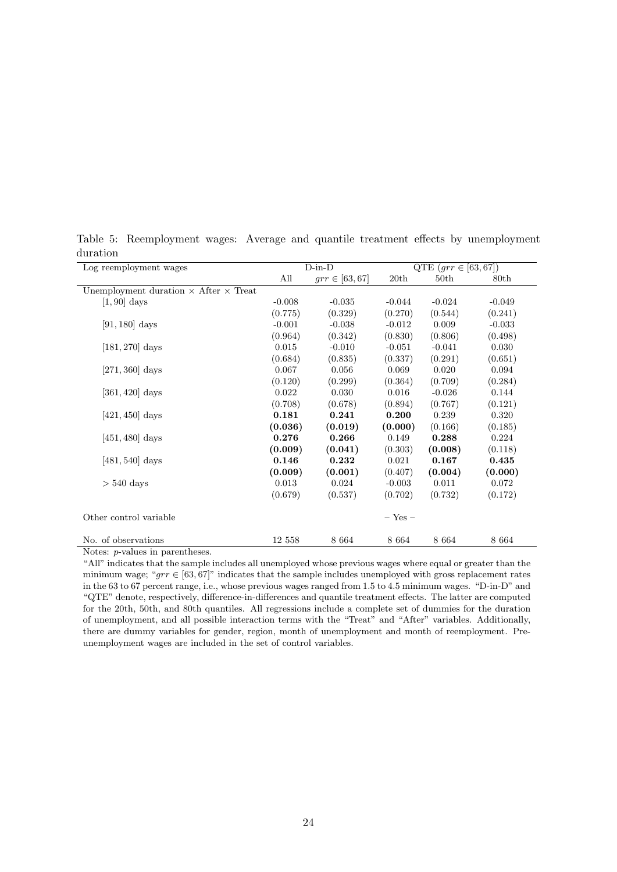| Log reemployment wages                              | $D-in-D$ |                    |             | QTE $(grr \in [63, 67])$ |                  |  |
|-----------------------------------------------------|----------|--------------------|-------------|--------------------------|------------------|--|
|                                                     | All      | $grr \in [63, 67]$ | 20th        | 50th                     | 80 <sub>th</sub> |  |
| Unemployment duration $\times$ After $\times$ Treat |          |                    |             |                          |                  |  |
| $[1, 90]$ days                                      | $-0.008$ | $-0.035$           | $-0.044$    | $-0.024$                 | $-0.049$         |  |
|                                                     | (0.775)  | (0.329)            | (0.270)     | (0.544)                  | (0.241)          |  |
| $[91, 180]$ days                                    | $-0.001$ | $-0.038$           | $-0.012$    | 0.009                    | $-0.033$         |  |
|                                                     | (0.964)  | (0.342)            | (0.830)     | (0.806)                  | (0.498)          |  |
| $[181, 270]$ days                                   | 0.015    | $-0.010$           | $-0.051$    | $-0.041$                 | 0.030            |  |
|                                                     | (0.684)  | (0.835)            | (0.337)     | (0.291)                  | (0.651)          |  |
| $[271, 360]$ days                                   | 0.067    | 0.056              | 0.069       | 0.020                    | 0.094            |  |
|                                                     | (0.120)  | (0.299)            | (0.364)     | (0.709)                  | (0.284)          |  |
| $[361, 420]$ days                                   | 0.022    | 0.030              | $0.016\,$   | $-0.026$                 | 0.144            |  |
|                                                     | (0.708)  | (0.678)            | (0.894)     | (0.767)                  | (0.121)          |  |
| $[421, 450]$ days                                   | 0.181    | 0.241              | 0.200       | 0.239                    | 0.320            |  |
|                                                     | (0.036)  | (0.019)            | (0.000)     | (0.166)                  | (0.185)          |  |
| $[451, 480]$ days                                   | 0.276    | 0.266              | 0.149       | 0.288                    | 0.224            |  |
|                                                     | (0.009)  | (0.041)            | (0.303)     | (0.008)                  | (0.118)          |  |
| $[481, 540]$ days                                   | 0.146    | 0.232              | 0.021       | 0.167                    | 0.435            |  |
|                                                     | (0.009)  | (0.001)            | (0.407)     | (0.004)                  | (0.000)          |  |
| $> 540$ days                                        | 0.013    | 0.024              | $-0.003$    | 0.011                    | 0.072            |  |
|                                                     | (0.679)  | (0.537)            | (0.702)     | (0.732)                  | (0.172)          |  |
| Other control variable                              |          |                    | $-$ Yes $-$ |                          |                  |  |
| No. of observations                                 | 12 558   | 8 6 6 4            | 8 6 6 4     | 8 6 6 4                  | 8 6 6 4          |  |

<span id="page-23-0"></span>Table 5: Reemployment wages: Average and quantile treatment effects by unemployment duration

Notes: p-values in parentheses.

"All" indicates that the sample includes all unemployed whose previous wages where equal or greater than the minimum wage; "grr  $\in [63, 67]$ " indicates that the sample includes unemployed with gross replacement rates in the 63 to 67 percent range, i.e., whose previous wages ranged from 1.5 to 4.5 minimum wages. "D-in-D" and "QTE" denote, respectively, difference-in-differences and quantile treatment effects. The latter are computed for the 20th, 50th, and 80th quantiles. All regressions include a complete set of dummies for the duration of unemployment, and all possible interaction terms with the "Treat" and "After" variables. Additionally, there are dummy variables for gender, region, month of unemployment and month of reemployment. Preunemployment wages are included in the set of control variables.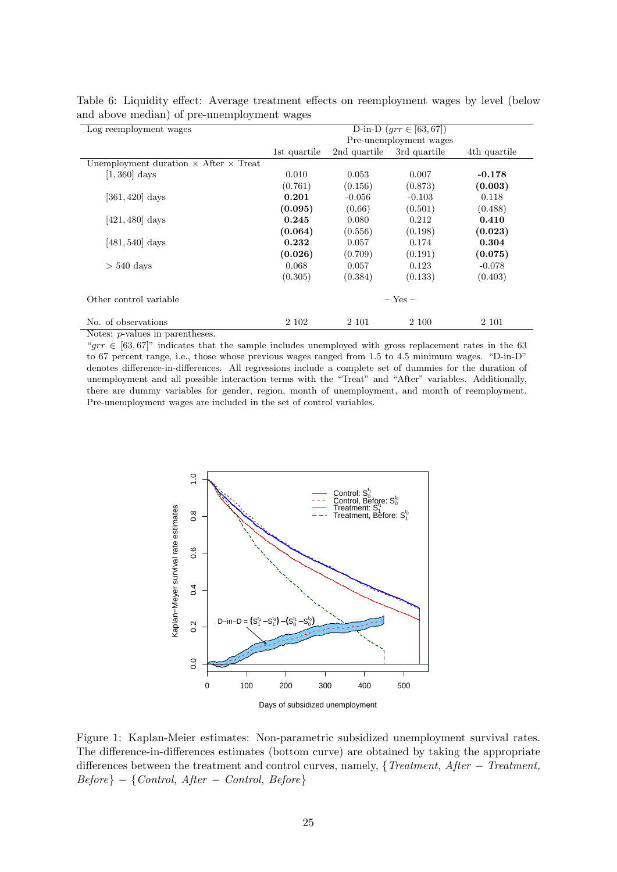| D-in-D $(grr \in [63, 67])$  |              |              | Log reemployment wages                              |  |
|------------------------------|--------------|--------------|-----------------------------------------------------|--|
| Pre-unemployment wages       |              |              |                                                     |  |
| 3rd quartile<br>4th quartile | 2nd quartile | 1st quartile |                                                     |  |
|                              |              |              | Unemployment duration $\times$ After $\times$ Treat |  |
| 0.007<br>$-0.178$            | 0.053        | 0.010        | $[1,360]$ days                                      |  |
| (0.873)<br>(0.003)           | (0.156)      | (0.761)      |                                                     |  |
| 0.118<br>$-0.103$            | $-0.056$     | 0.201        | $[361, 420]$ days                                   |  |
| (0.501)<br>(0.488)           | (0.66)       | (0.095)      |                                                     |  |
| 0.410<br>0.212               | 0.080        | 0.245        | $[421, 480]$ days                                   |  |
| (0.198)<br>(0.023)           | (0.556)      | (0.064)      |                                                     |  |
| 0.174<br>0.304               | 0.057        | 0.232        | $[481, 540]$ days                                   |  |
| (0.191)                      |              |              |                                                     |  |
| 0.123<br>$-0.078$            | 0.057        | 0.068        | $> 540$ days                                        |  |
| (0.133)<br>(0.403)           | (0.384)      | (0.305)      |                                                     |  |
| $-$ Yes $-$                  |              |              | Other control variable                              |  |
| 2 100<br>2 1 0 1             | 2 101        | 2 1 0 2      | No. of observations                                 |  |
| (0.075)                      | (0.709)      | (0.026)      | Motor, marshaps in monomihoson                      |  |

<span id="page-24-1"></span>Table 6: Liquidity effect: Average treatment effects on reemployment wages by level (below and above median) of pre-unemployment wages

Notes: p-values in parentheses.

"grr  $\in [63, 67]$ " indicates that the sample includes unemployed with gross replacement rates in the 63 to 67 percent range, i.e., those whose previous wages ranged from 1.5 to 4.5 minimum wages. "D-in-D" denotes difference-in-differences. All regressions include a complete set of dummies for the duration of unemployment and all possible interaction terms with the "Treat" and "After" variables. Additionally, there are dummy variables for gender, region, month of unemployment, and month of reemployment. Pre-unemployment wages are included in the set of control variables.



<span id="page-24-0"></span>Figure 1: Kaplan-Meier estimates: Non-parametric subsidized unemployment survival rates. The difference-in-differences estimates (bottom curve) are obtained by taking the appropriate differences between the treatment and control curves, namely, {Treatment, After − Treatment,  $Before$ } – {Control,  $After$  – Control, Before}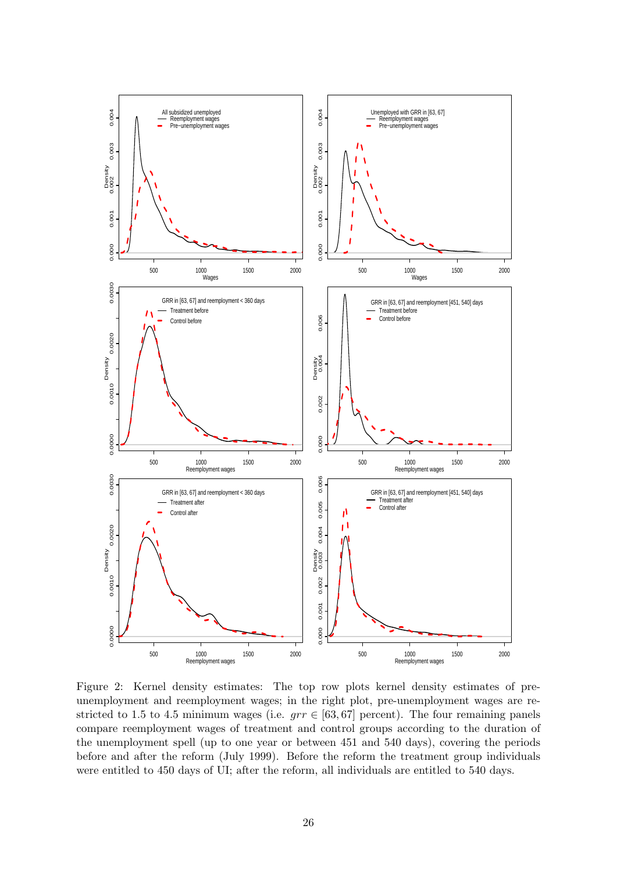

<span id="page-25-0"></span>Figure 2: Kernel density estimates: The top row plots kernel density estimates of preunemployment and reemployment wages; in the right plot, pre-unemployment wages are restricted to 1.5 to 4.5 minimum wages (i.e.  $grr \in [63, 67]$  percent). The four remaining panels compare reemployment wages of treatment and control groups according to the duration of the unemployment spell (up to one year or between 451 and 540 days), covering the periods before and after the reform (July 1999). Before the reform the treatment group individuals were entitled to 450 days of UI; after the reform, all individuals are entitled to 540 days.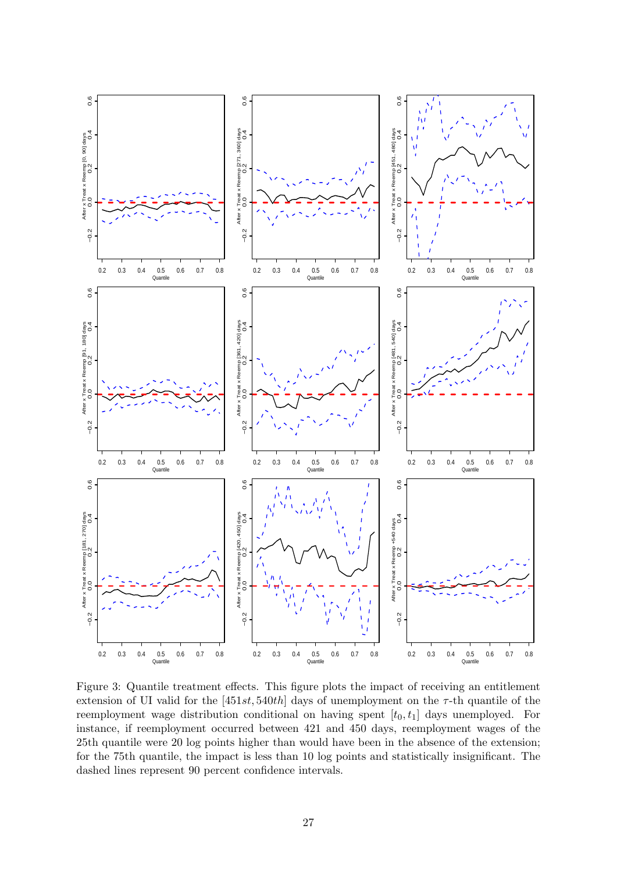

<span id="page-26-0"></span>Figure 3: Quantile treatment effects. This figure plots the impact of receiving an entitlement extension of UI valid for the  $[451st, 540th]$  days of unemployment on the  $\tau$ -th quantile of the reemployment wage distribution conditional on having spent  $[t_0, t_1]$  days unemployed. For instance, if reemployment occurred between 421 and 450 days, reemployment wages of the 25th quantile were 20 log points higher than would have been in the absence of the extension; for the 75th quantile, the impact is less than 10 log points and statistically insignificant. The dashed lines represent 90 percent confidence intervals.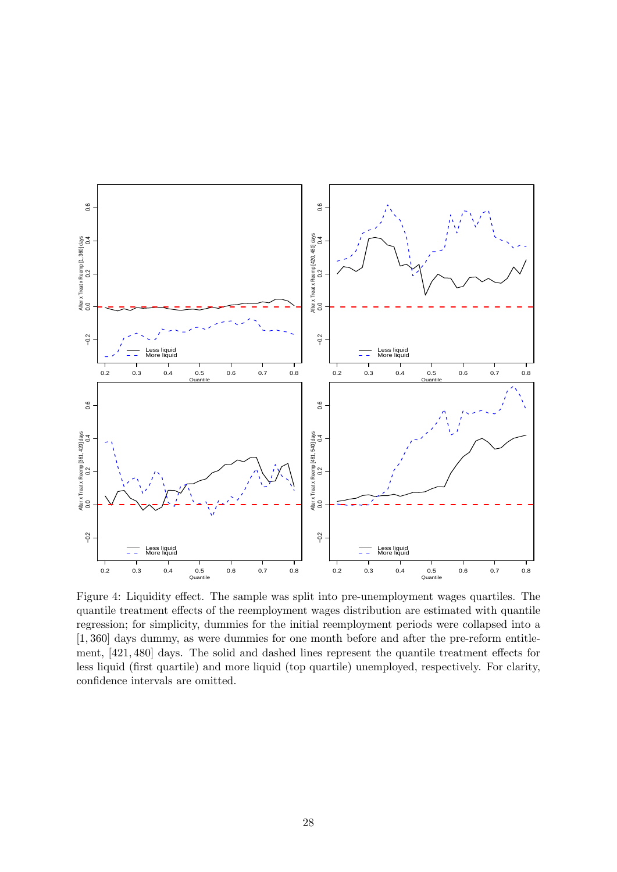

<span id="page-27-0"></span>Figure 4: Liquidity effect. The sample was split into pre-unemployment wages quartiles. The quantile treatment effects of the reemployment wages distribution are estimated with quantile regression; for simplicity, dummies for the initial reemployment periods were collapsed into a [1, 360] days dummy, as were dummies for one month before and after the pre-reform entitlement, [421, 480] days. The solid and dashed lines represent the quantile treatment effects for less liquid (first quartile) and more liquid (top quartile) unemployed, respectively. For clarity, confidence intervals are omitted.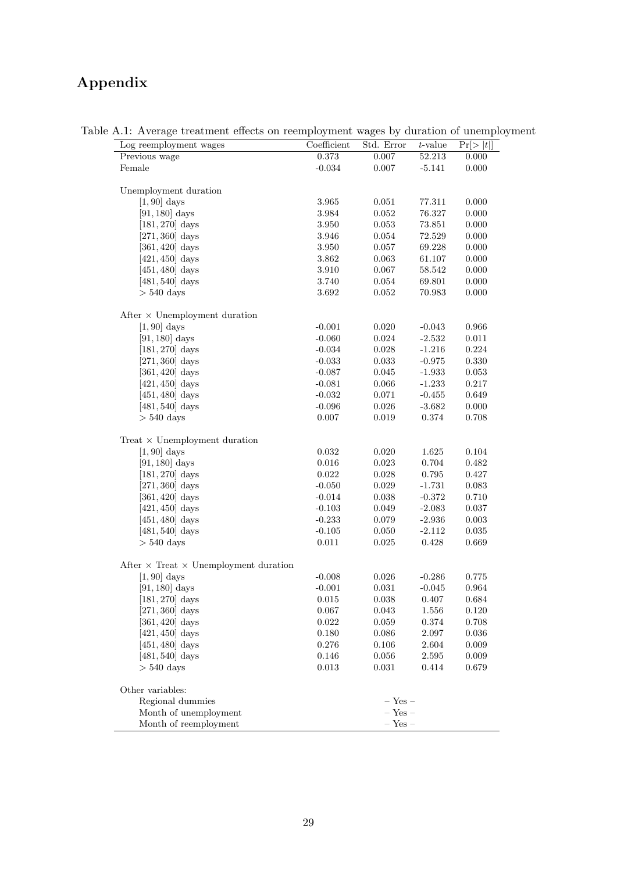# Appendix

<span id="page-28-0"></span>

| Log reemployment wages                              | Coefficient | Std. Error  | $t$ -value | Pr[>  t ]   |
|-----------------------------------------------------|-------------|-------------|------------|-------------|
| Previous wage                                       | 0.373       | 0.007       | 52.213     | 0.000       |
| Female                                              | $-0.034$    | 0.007       | $-5.141$   | $0.000\,$   |
| Unemployment duration                               |             |             |            |             |
| $[1,90]$ days                                       | 3.965       | 0.051       | 77.311     | 0.000       |
| $[91, 180]$ days                                    | 3.984       | $0.052\,$   | 76.327     | $0.000\,$   |
| $[181, 270]$ days                                   | 3.950       | 0.053       | 73.851     | 0.000       |
| $[271, 360]$ days                                   | 3.946       | 0.054       | 72.529     | $0.000\,$   |
| $[361, 420]$ days                                   | 3.950       | 0.057       | 69.228     | $0.000\,$   |
| $[421, 450]$ days                                   | $3.862\,$   | 0.063       | 61.107     | $0.000\,$   |
| $[451, 480]$ days                                   | 3.910       | $0.067\,$   | 58.542     | 0.000       |
| $[481, 540]$ days                                   | 3.740       | $0.054\,$   | 69.801     | $0.000\,$   |
| $> 540$ days                                        | 3.692       | 0.052       | 70.983     | $0.000\,$   |
| After $\times$ Unemployment duration                |             |             |            |             |
| $[1, 90]$ days                                      | $-0.001$    | $0.020\,$   | $-0.043$   | 0.966       |
| $[91, 180]$ days                                    | $-0.060$    | 0.024       | $-2.532$   | 0.011       |
| $[181, 270]$ days                                   | $-0.034$    | 0.028       | $-1.216$   | $0.224\,$   |
| $[271, 360]$ days                                   | $-0.033$    | 0.033       | $-0.975$   | $0.330\,$   |
| $[361, 420]$ days                                   | $-0.087$    | $0.045\,$   | $-1.933$   | 0.053       |
| $[421, 450]$ days                                   | $-0.081$    | 0.066       | $-1.233$   | $0.217\,$   |
| $[451, 480]$ days                                   | $-0.032$    | 0.071       | $-0.455$   | $0.649\,$   |
| $[481, 540]$ days                                   | $-0.096$    | $0.026\,$   | $-3.682$   | 0.000       |
| $>540~\rm{days}$                                    | 0.007       | 0.019       | 0.374      | 0.708       |
| Treat $\times$ Unemployment duration                |             |             |            |             |
| $[1, 90]$ days                                      | 0.032       | 0.020       | 1.625      | $0.104\,$   |
| $[91, 180]$ days                                    | $0.016\,$   | $\,0.023\,$ | 0.704      | 0.482       |
| $[181, 270]$ days                                   | 0.022       | $0.028\,$   | 0.795      | 0.427       |
| $[271, 360]$ days                                   | $-0.050$    | 0.029       | $-1.731$   | 0.083       |
| $[361, 420]$ days                                   | $-0.014$    | 0.038       | $-0.372$   | 0.710       |
| $[421, 450]$ days                                   | $-0.103$    | $0.049\,$   | $-2.083$   | 0.037       |
| $[451, 480]$ days                                   | $-0.233$    | 0.079       | $-2.936$   | 0.003       |
| $[481, 540]$ days                                   | $-0.105$    | 0.050       | $-2.112$   | $\,0.035\,$ |
| $> 540$ days                                        | 0.011       | 0.025       | 0.428      | 0.669       |
| After $\times$ Treat $\times$ Unemployment duration |             |             |            |             |
| $[1, 90]$ days                                      | $-0.008$    | 0.026       | $-0.286$   | 0.775       |
| $[91, 180]$ days                                    | $-0.001$    | 0.031       | $-0.045$   | 0.964       |
| $[181,270]$ days                                    | 0.015       | 0.038       | 0.407      | 0.684       |
| $[271, 360]$ days                                   | 0.067       | 0.043       | 1.556      | 0.120       |
| $[361, 420]$ days                                   | 0.022       | 0.059       | 0.374      | 0.708       |
| $[421, 450]$ days                                   | 0.180       | 0.086       | 2.097      | 0.036       |
| $[451, 480]$ days                                   | 0.276       | 0.106       | 2.604      | 0.009       |
| $[481, 540]$ days                                   | 0.146       | 0.056       | 2.595      | 0.009       |
| $>540~\rm{days}$                                    | 0.013       | 0.031       | 0.414      | 0.679       |
| Other variables:                                    |             |             |            |             |
| Regional dummies                                    |             | $-$ Yes $-$ |            |             |
| Month of unemployment                               |             | $-$ Yes $-$ |            |             |
| Month of reemployment                               |             | $-$ Yes $-$ |            |             |

Table A.1: Average treatment effects on reemployment wages by duration of unemployment